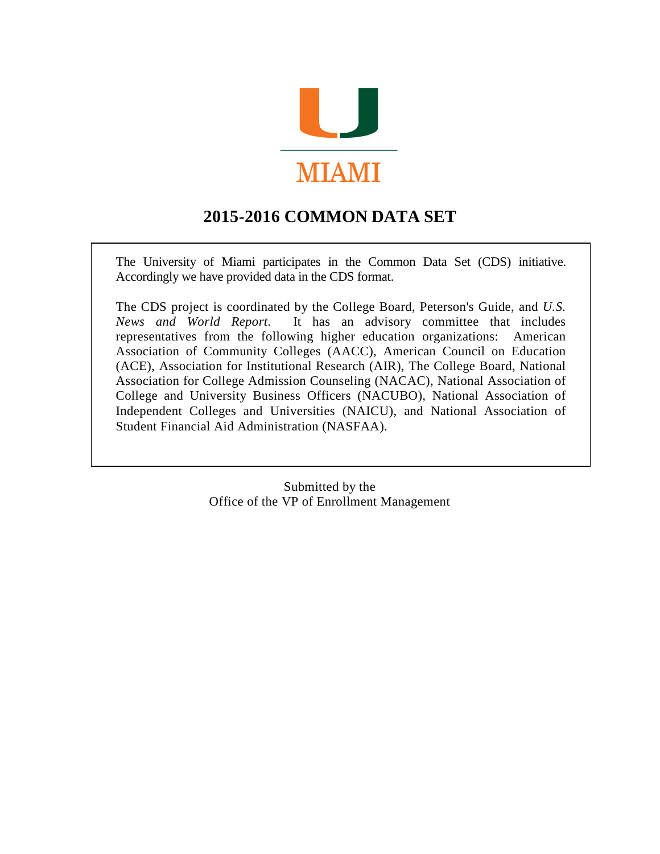

# **2015-2016 COMMON DATA SET**

The University of Miami participates in the Common Data Set (CDS) initiative. Accordingly we have provided data in the CDS format.

The CDS project is coordinated by the College Board, Peterson's Guide, and *U.S. News and World Report*. It has an advisory committee that includes representatives from the following higher education organizations: American Association of Community Colleges (AACC), American Council on Education (ACE), Association for Institutional Research (AIR), The College Board, National Association for College Admission Counseling (NACAC), National Association of College and University Business Officers (NACUBO), National Association of Independent Colleges and Universities (NAICU), and National Association of Student Financial Aid Administration (NASFAA).

> Submitted by the Office of the VP of Enrollment Management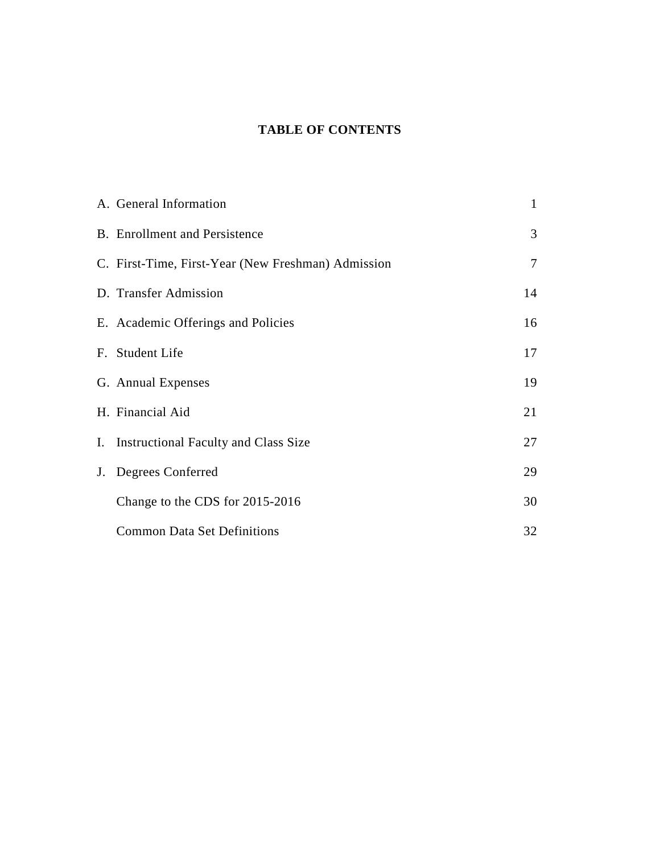### **TABLE OF CONTENTS**

| A. General Information                             | $\mathbf{1}$   |
|----------------------------------------------------|----------------|
| <b>B.</b> Enrollment and Persistence               | 3              |
| C. First-Time, First-Year (New Freshman) Admission | $\overline{7}$ |
| D. Transfer Admission                              | 14             |
| E. Academic Offerings and Policies                 | 16             |
| F. Student Life                                    | 17             |
| G. Annual Expenses                                 | 19             |
| H. Financial Aid                                   | 21             |
| I. Instructional Faculty and Class Size            | 27             |
| J. Degrees Conferred                               | 29             |
| Change to the CDS for 2015-2016                    | 30             |
| <b>Common Data Set Definitions</b>                 | 32             |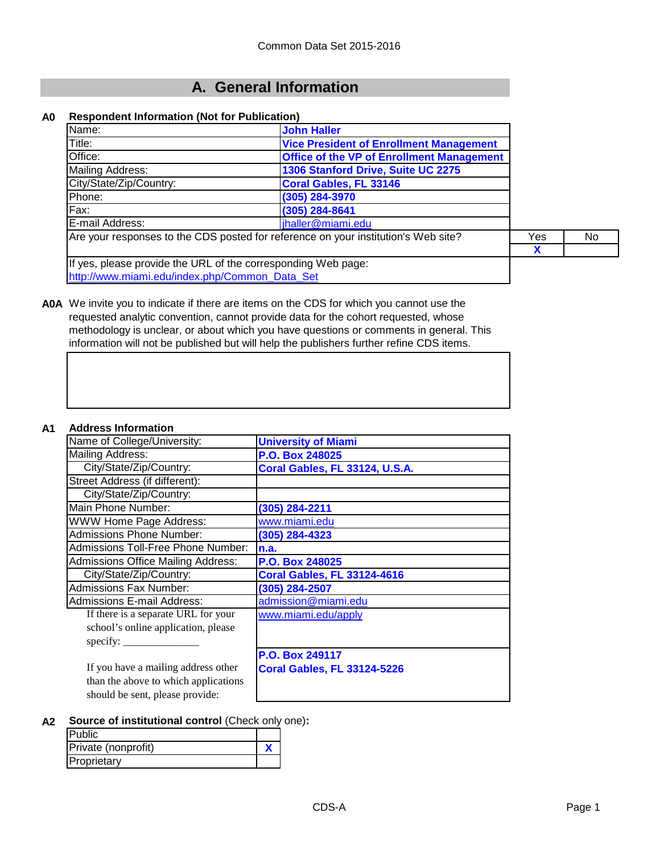# **A. General Information**

#### **A0 Respondent Information (Not for Publication)**

| Name:                                                         | <b>John Haller</b>                                                                 |     |    |
|---------------------------------------------------------------|------------------------------------------------------------------------------------|-----|----|
| Title:                                                        | <b>Vice President of Enrollment Management</b>                                     |     |    |
| Office:                                                       | <b>Office of the VP of Enrollment Management</b>                                   |     |    |
| Mailing Address:                                              | 1306 Stanford Drive, Suite UC 2275                                                 |     |    |
| City/State/Zip/Country:                                       | <b>Coral Gables, FL 33146</b>                                                      |     |    |
| Phone:                                                        | (305) 284-3970                                                                     |     |    |
| Fax:                                                          | (305) 284-8641                                                                     |     |    |
| E-mail Address:                                               | jhaller@miami.edu                                                                  |     |    |
|                                                               | Are your responses to the CDS posted for reference on your institution's Web site? | Yes | No |
|                                                               |                                                                                    | X   |    |
| If yes, please provide the URL of the corresponding Web page: |                                                                                    |     |    |
| http://www.miami.edu/index.php/Common_Data_Set                |                                                                                    |     |    |



**A0A** We invite you to indicate if there are items on the CDS for which you cannot use the requested analytic convention, cannot provide data for the cohort requested, whose methodology is unclear, or about which you have questions or comments in general. This information will not be published but will help the publishers further refine CDS items.

#### **A1 Address Information**

| AGU COO HIIVIIIGAO                               |                                    |
|--------------------------------------------------|------------------------------------|
| Name of College/University:                      | <b>University of Miami</b>         |
| Mailing Address:                                 | P.O. Box 248025                    |
| City/State/Zip/Country:                          | Coral Gables, FL 33124, U.S.A.     |
| Street Address (if different):                   |                                    |
| City/State/Zip/Country:                          |                                    |
| Main Phone Number:                               | (305) 284-2211                     |
| WWW Home Page Address:                           | www.miami.edu                      |
| Admissions Phone Number:                         | (305) 284-4323                     |
| Admissions Toll-Free Phone Number:               | n.a.                               |
| Admissions Office Mailing Address:               | <b>P.O. Box 248025</b>             |
| City/State/Zip/Country:                          | <b>Coral Gables, FL 33124-4616</b> |
| <b>Admissions Fax Number:</b>                    | (305) 284-2507                     |
| Admissions E-mail Address:                       | admission@miami.edu                |
| If there is a separate URL for your              | www.miami.edu/apply                |
| school's online application, please              |                                    |
| specify: $\frac{\qquad \qquad }{\qquad \qquad }$ |                                    |
|                                                  | P.O. Box 249117                    |
| If you have a mailing address other              | <b>Coral Gables, FL 33124-5226</b> |
| than the above to which applications             |                                    |
| should be sent, please provide:                  |                                    |

#### **A2 Source of institutional control** (Check only one)**:**

| <b>Public</b>       |  |
|---------------------|--|
| Private (nonprofit) |  |
| Proprietary         |  |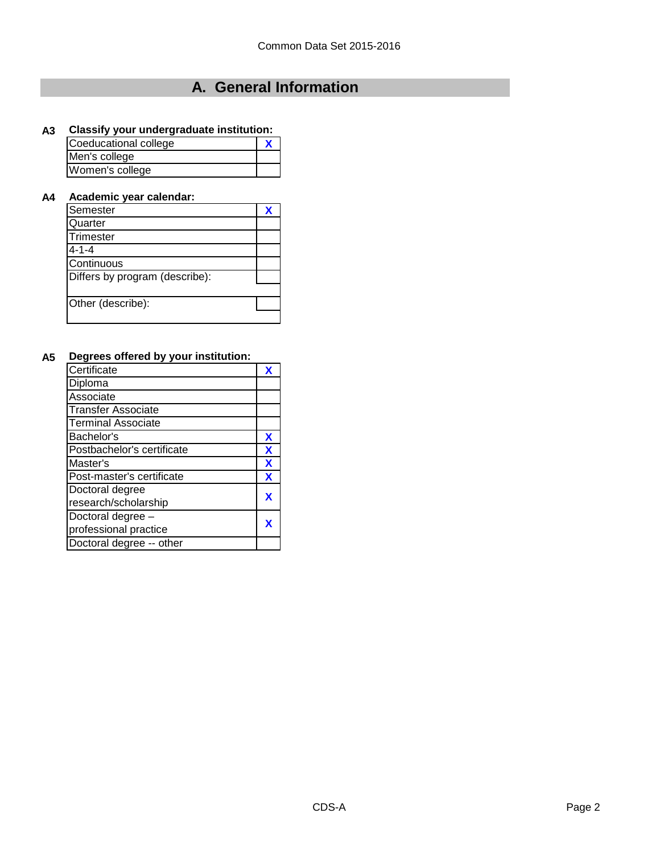# **A. General Information**

### **A3 Classify your undergraduate institution:**

| Coeducational college |  |
|-----------------------|--|
| Men's college         |  |
| Women's college       |  |

#### **A4 Academic year calendar:**

| Semester                       |  |
|--------------------------------|--|
| Quarter                        |  |
| Trimester                      |  |
| $4 - 1 - 4$                    |  |
| Continuous                     |  |
| Differs by program (describe): |  |
|                                |  |
| Other (describe):              |  |
|                                |  |

### **A5 Degrees offered by your institution:**

| Certificate                |   |
|----------------------------|---|
| Diploma                    |   |
| Associate                  |   |
| <b>Transfer Associate</b>  |   |
| <b>Terminal Associate</b>  |   |
| Bachelor's                 | X |
| Postbachelor's certificate | X |
| Master's                   | X |
| Post-master's certificate  | X |
| Doctoral degree            |   |
| research/scholarship       |   |
| Doctoral degree -          |   |
| professional practice      |   |
| Doctoral degree -- other   |   |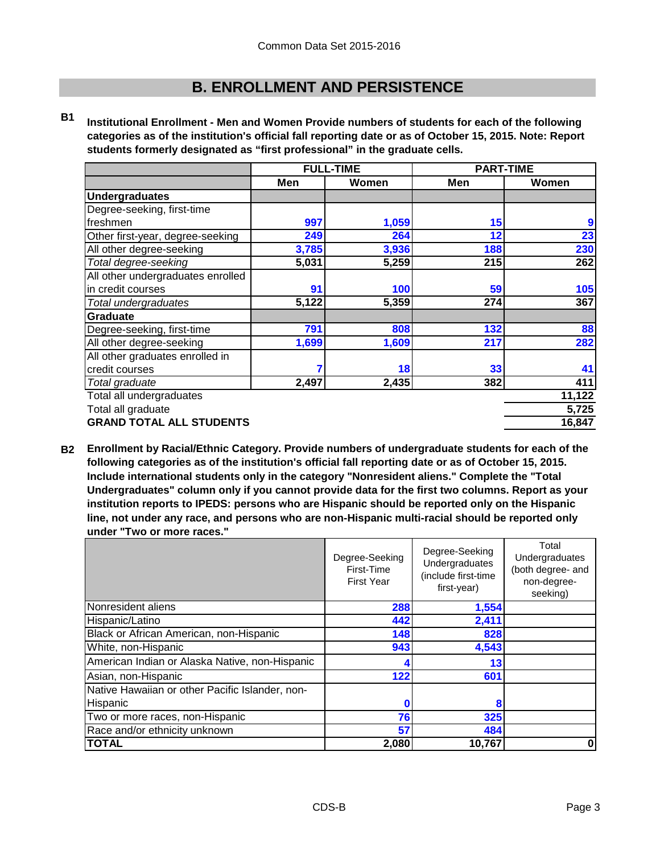**B1 Institutional Enrollment - Men and Women Provide numbers of students for each of the following categories as of the institution's official fall reporting date or as of October 15, 2015. Note: Report students formerly designated as "first professional" in the graduate cells.**

|                                   | <b>FULL-TIME</b> |       | <b>PART-TIME</b> |        |
|-----------------------------------|------------------|-------|------------------|--------|
|                                   | Men              | Women | Men              | Women  |
| <b>Undergraduates</b>             |                  |       |                  |        |
| Degree-seeking, first-time        |                  |       |                  |        |
| freshmen                          | 997              | 1,059 | 15               | 9      |
| Other first-year, degree-seeking  | 249              | 264   | 12               | 23     |
| All other degree-seeking          | 3,785            | 3,936 | 188              | 230    |
| Total degree-seeking              | 5,031            | 5,259 | 215              | 262    |
| All other undergraduates enrolled |                  |       |                  |        |
| in credit courses                 | 91               | 100   | 59               | 105    |
| Total undergraduates              | 5,122            | 5,359 | 274              | 367    |
| <b>Graduate</b>                   |                  |       |                  |        |
| Degree-seeking, first-time        | 791              | 808   | 132              | 88     |
| All other degree-seeking          | 1,699            | 1,609 | 217              | 282    |
| All other graduates enrolled in   |                  |       |                  |        |
| credit courses                    | 7                | 18    | 33               | 41     |
| Total graduate                    | 2,497            | 2,435 | 382              | 411    |
| Total all undergraduates          |                  |       |                  | 11,122 |
| Total all graduate                |                  |       |                  | 5,725  |
| <b>GRAND TOTAL ALL STUDENTS</b>   |                  |       |                  | 16,847 |

**B2 Enrollment by Racial/Ethnic Category. Provide numbers of undergraduate students for each of the following categories as of the institution's official fall reporting date or as of October 15, 2015. Include international students only in the category "Nonresident aliens." Complete the "Total Undergraduates" column only if you cannot provide data for the first two columns. Report as your institution reports to IPEDS: persons who are Hispanic should be reported only on the Hispanic line, not under any race, and persons who are non-Hispanic multi-racial should be reported only under "Two or more races."** 

|                                                 | Degree-Seeking<br>First-Time<br><b>First Year</b> | Degree-Seeking<br>Undergraduates<br>(include first-time<br>first-year) | Total<br>Undergraduates<br>(both degree- and<br>non-degree-<br>seeking) |
|-------------------------------------------------|---------------------------------------------------|------------------------------------------------------------------------|-------------------------------------------------------------------------|
| Nonresident aliens                              | 288                                               | 1,554                                                                  |                                                                         |
| Hispanic/Latino                                 | 442                                               | 2,411                                                                  |                                                                         |
| Black or African American, non-Hispanic         | 148                                               | 828                                                                    |                                                                         |
| White, non-Hispanic                             | 943                                               | 4,543                                                                  |                                                                         |
| American Indian or Alaska Native, non-Hispanic  |                                                   | 13                                                                     |                                                                         |
| Asian, non-Hispanic                             | 122                                               | 601                                                                    |                                                                         |
| Native Hawaiian or other Pacific Islander, non- |                                                   |                                                                        |                                                                         |
| Hispanic                                        |                                                   | 8                                                                      |                                                                         |
| Two or more races, non-Hispanic                 | 76                                                | 325                                                                    |                                                                         |
| Race and/or ethnicity unknown                   | 57                                                | 484                                                                    |                                                                         |
| <b>TOTAL</b>                                    | 2,080                                             | 10,767                                                                 | 0                                                                       |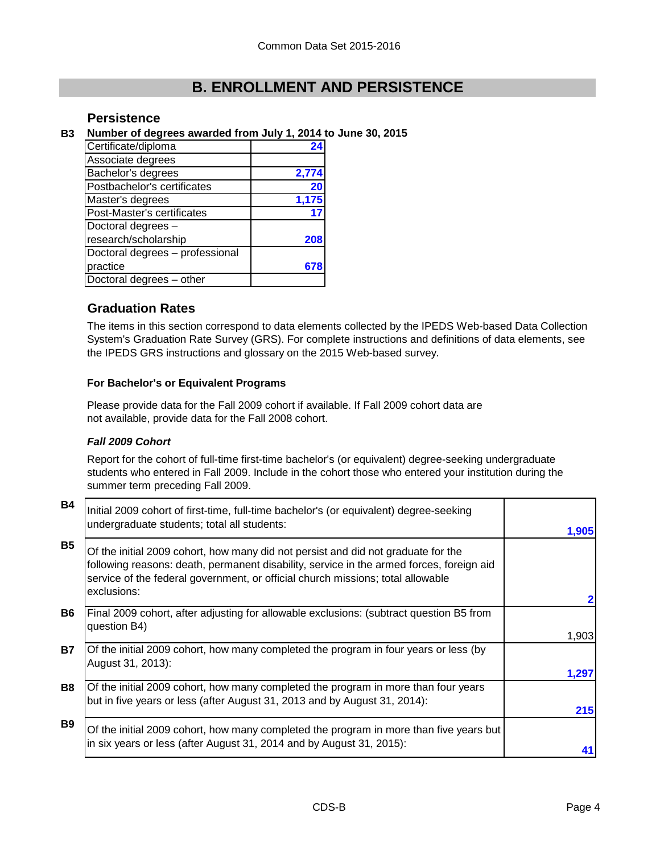### **Persistence**

#### **B3 Number of degrees awarded from July 1, 2014 to June 30, 2015**

| Certificate/diploma             |       |
|---------------------------------|-------|
| Associate degrees               |       |
| Bachelor's degrees              | 2,774 |
| Postbachelor's certificates     | 20    |
| Master's degrees                | 1,175 |
| Post-Master's certificates      |       |
| Doctoral degrees -              |       |
| research/scholarship            | 208   |
| Doctoral degrees - professional |       |
| practice                        |       |
| Doctoral degrees - other        |       |

### **Graduation Rates**

The items in this section correspond to data elements collected by the IPEDS Web-based Data Collection System's Graduation Rate Survey (GRS). For complete instructions and definitions of data elements, see the IPEDS GRS instructions and glossary on the 2015 Web-based survey.

#### **For Bachelor's or Equivalent Programs**

Please provide data for the Fall 2009 cohort if available. If Fall 2009 cohort data are not available, provide data for the Fall 2008 cohort.

#### *Fall 2009 Cohort*

Report for the cohort of full-time first-time bachelor's (or equivalent) degree-seeking undergraduate students who entered in Fall 2009. Include in the cohort those who entered your institution during the summer term preceding Fall 2009.

| <b>B4</b> | Initial 2009 cohort of first-time, full-time bachelor's (or equivalent) degree-seeking<br>undergraduate students; total all students:                                                                                                                                           | 1,905          |
|-----------|---------------------------------------------------------------------------------------------------------------------------------------------------------------------------------------------------------------------------------------------------------------------------------|----------------|
| <b>B5</b> | Of the initial 2009 cohort, how many did not persist and did not graduate for the<br>following reasons: death, permanent disability, service in the armed forces, foreign aid<br>service of the federal government, or official church missions; total allowable<br>exclusions: |                |
| <b>B6</b> | Final 2009 cohort, after adjusting for allowable exclusions: (subtract question B5 from<br>question B4)                                                                                                                                                                         |                |
| Β7        | Of the initial 2009 cohort, how many completed the program in four years or less (by<br>August 31, 2013):                                                                                                                                                                       | 1,903<br>1,297 |
| <b>B8</b> | Of the initial 2009 cohort, how many completed the program in more than four years<br>but in five years or less (after August 31, 2013 and by August 31, 2014):                                                                                                                 | 215            |
| <b>B9</b> | Of the initial 2009 cohort, how many completed the program in more than five years but<br>in six years or less (after August 31, 2014 and by August 31, 2015):                                                                                                                  |                |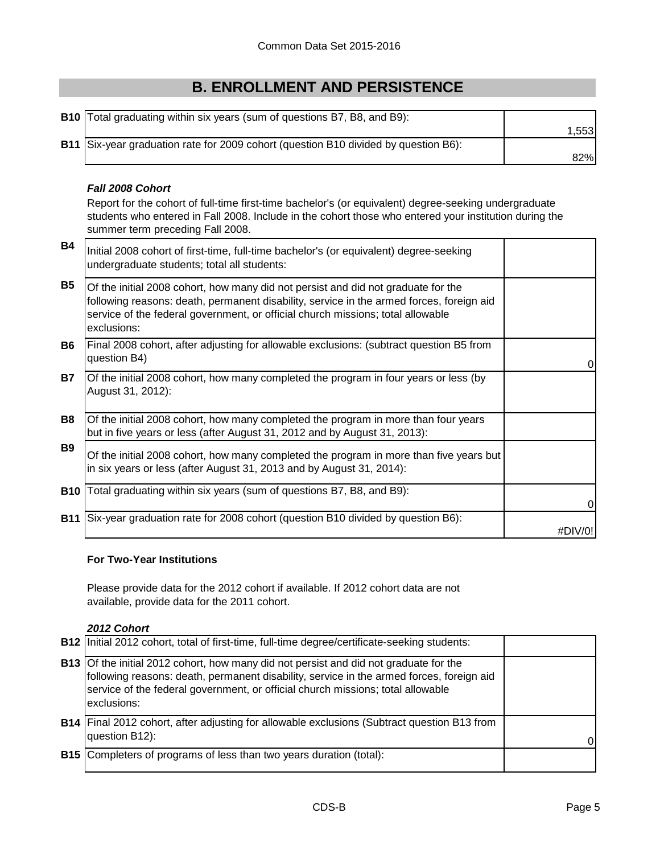| <b>B10</b> Total graduating within six years (sum of questions B7, B8, and B9):     |        |
|-------------------------------------------------------------------------------------|--------|
|                                                                                     | 1.553I |
| B11 Six-year graduation rate for 2009 cohort (question B10 divided by question B6): |        |
|                                                                                     | 82%    |

### *Fall 2008 Cohort*

Report for the cohort of full-time first-time bachelor's (or equivalent) degree-seeking undergraduate students who entered in Fall 2008. Include in the cohort those who entered your institution during the summer term preceding Fall 2008.

| <b>B4</b>  | Initial 2008 cohort of first-time, full-time bachelor's (or equivalent) degree-seeking<br>undergraduate students; total all students:                                                                                                                                           |         |
|------------|---------------------------------------------------------------------------------------------------------------------------------------------------------------------------------------------------------------------------------------------------------------------------------|---------|
| <b>B5</b>  | Of the initial 2008 cohort, how many did not persist and did not graduate for the<br>following reasons: death, permanent disability, service in the armed forces, foreign aid<br>service of the federal government, or official church missions; total allowable<br>exclusions: |         |
| <b>B6</b>  | Final 2008 cohort, after adjusting for allowable exclusions: (subtract question B5 from<br>question B4)                                                                                                                                                                         | 0       |
| <b>B7</b>  | Of the initial 2008 cohort, how many completed the program in four years or less (by<br>August 31, 2012):                                                                                                                                                                       |         |
| B8         | Of the initial 2008 cohort, how many completed the program in more than four years<br>but in five years or less (after August 31, 2012 and by August 31, 2013):                                                                                                                 |         |
| <b>B</b> 9 | Of the initial 2008 cohort, how many completed the program in more than five years but<br>in six years or less (after August 31, 2013 and by August 31, 2014):                                                                                                                  |         |
| <b>B10</b> | Total graduating within six years (sum of questions B7, B8, and B9):                                                                                                                                                                                                            | 0       |
| <b>B11</b> | Six-year graduation rate for 2008 cohort (question B10 divided by question B6):                                                                                                                                                                                                 | #DIV/0! |

#### **For Two-Year Institutions**

Please provide data for the 2012 cohort if available. If 2012 cohort data are not available, provide data for the 2011 cohort.

### *2012 Cohort*

| <b>B12</b> Initial 2012 cohort, total of first-time, full-time degree/certificate-seeking students:                                                                                                                                                                                        |  |
|--------------------------------------------------------------------------------------------------------------------------------------------------------------------------------------------------------------------------------------------------------------------------------------------|--|
| <b>B13</b> Of the initial 2012 cohort, how many did not persist and did not graduate for the<br>following reasons: death, permanent disability, service in the armed forces, foreign aid<br>service of the federal government, or official church missions; total allowable<br>exclusions: |  |
| <b>B14</b> Final 2012 cohort, after adjusting for allowable exclusions (Subtract question B13 from<br>question B12):                                                                                                                                                                       |  |
| <b>B15</b> Completers of programs of less than two years duration (total):                                                                                                                                                                                                                 |  |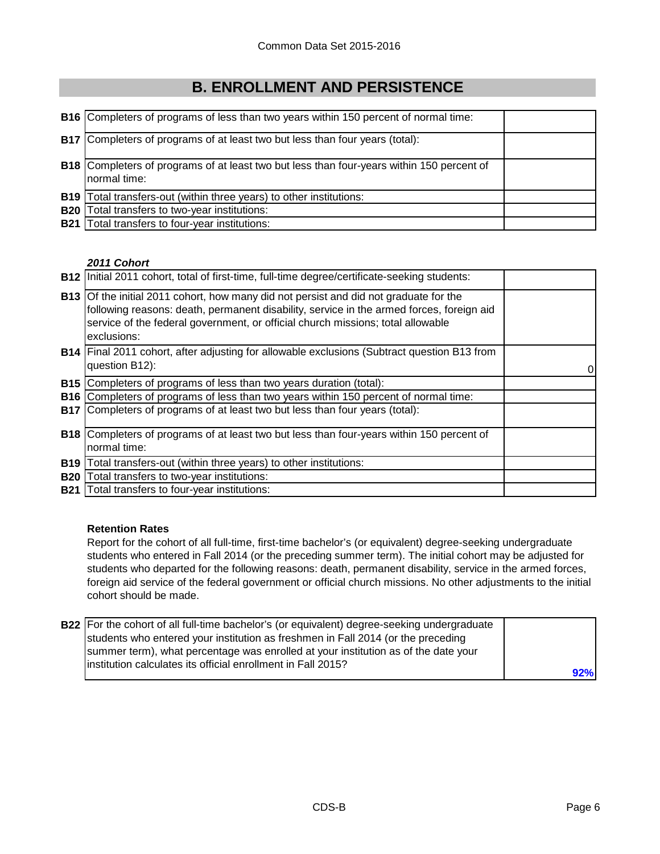|              | <b>B16</b> Completers of programs of less than two years within 150 percent of normal time:                      |  |
|--------------|------------------------------------------------------------------------------------------------------------------|--|
|              | <b>B17</b> Completers of programs of at least two but less than four years (total):                              |  |
|              | <b>B18</b> Completers of programs of at least two but less than four-years within 150 percent of<br>normal time: |  |
|              | <b>B19</b> Total transfers-out (within three years) to other institutions:                                       |  |
| <b>B20</b> l | Total transfers to two-year institutions:                                                                        |  |
|              | <b>B21</b> Total transfers to four-year institutions:                                                            |  |

### *2011 Cohort*

|            | <b>B12</b> Initial 2011 cohort, total of first-time, full-time degree/certificate-seeking students:                                                                                                                                                                                        |  |
|------------|--------------------------------------------------------------------------------------------------------------------------------------------------------------------------------------------------------------------------------------------------------------------------------------------|--|
|            | <b>B13</b> Of the initial 2011 cohort, how many did not persist and did not graduate for the<br>following reasons: death, permanent disability, service in the armed forces, foreign aid<br>service of the federal government, or official church missions; total allowable<br>exclusions: |  |
|            | B14   Final 2011 cohort, after adjusting for allowable exclusions (Subtract question B13 from<br>question B12):                                                                                                                                                                            |  |
|            | <b>B15</b> Completers of programs of less than two years duration (total):                                                                                                                                                                                                                 |  |
|            | <b>B16</b> Completers of programs of less than two years within 150 percent of normal time:                                                                                                                                                                                                |  |
|            | <b>B17</b> Completers of programs of at least two but less than four years (total):                                                                                                                                                                                                        |  |
|            | <b>B18</b> Completers of programs of at least two but less than four-years within 150 percent of<br>normal time:                                                                                                                                                                           |  |
| <b>B19</b> | Total transfers-out (within three years) to other institutions:                                                                                                                                                                                                                            |  |
| <b>B20</b> | Total transfers to two-year institutions:                                                                                                                                                                                                                                                  |  |
| <b>B21</b> | Total transfers to four-year institutions:                                                                                                                                                                                                                                                 |  |

### **Retention Rates**

Report for the cohort of all full-time, first-time bachelor's (or equivalent) degree-seeking undergraduate students who entered in Fall 2014 (or the preceding summer term). The initial cohort may be adjusted for students who departed for the following reasons: death, permanent disability, service in the armed forces, foreign aid service of the federal government or official church missions. No other adjustments to the initial cohort should be made.

| <b>B22</b> For the cohort of all full-time bachelor's (or equivalent) degree-seeking undergraduate |     |
|----------------------------------------------------------------------------------------------------|-----|
| students who entered your institution as freshmen in Fall 2014 (or the preceding                   |     |
| summer term), what percentage was enrolled at your institution as of the date your                 |     |
| linstitution calculates its official enrollment in Fall 2015?                                      |     |
|                                                                                                    | 92% |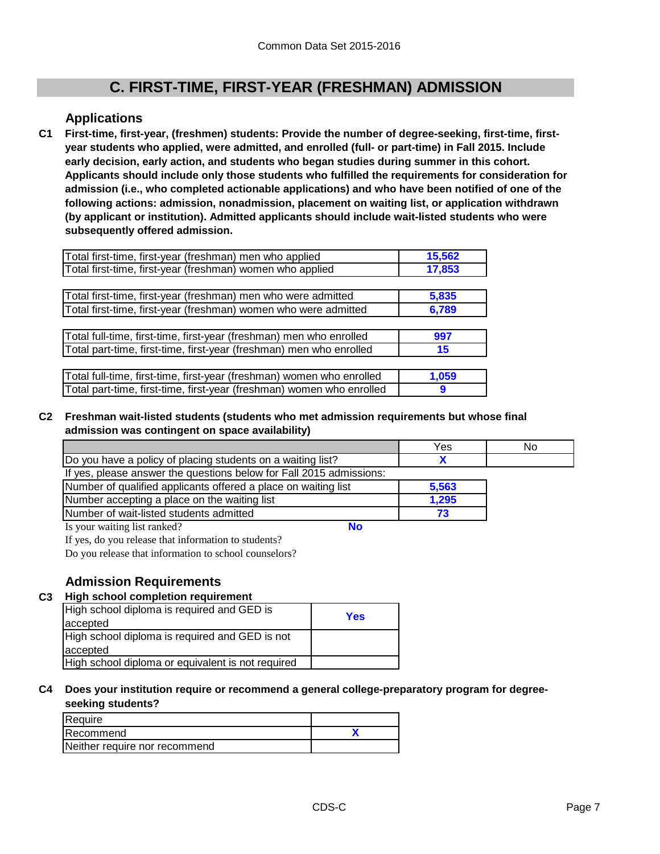# **C. FIRST-TIME, FIRST-YEAR (FRESHMAN) ADMISSION**

### **Applications**

**C1 First-time, first-year, (freshmen) students: Provide the number of degree-seeking, first-time, firstyear students who applied, were admitted, and enrolled (full- or part-time) in Fall 2015. Include early decision, early action, and students who began studies during summer in this cohort. Applicants should include only those students who fulfilled the requirements for consideration for admission (i.e., who completed actionable applications) and who have been notified of one of the following actions: admission, nonadmission, placement on waiting list, or application withdrawn (by applicant or institution). Admitted applicants should include wait-listed students who were subsequently offered admission.**

| Total first-time, first-year (freshman) men who applied               | 15,562 |
|-----------------------------------------------------------------------|--------|
| Total first-time, first-year (freshman) women who applied             | 17,853 |
|                                                                       |        |
| Total first-time, first-year (freshman) men who were admitted         | 5,835  |
| Total first-time, first-year (freshman) women who were admitted       | 6,789  |
|                                                                       |        |
| Total full-time, first-time, first-year (freshman) men who enrolled   | 997    |
| Total part-time, first-time, first-year (freshman) men who enrolled   | 15     |
|                                                                       |        |
| Total full-time, first-time, first-year (freshman) women who enrolled | 1,059  |
| Total part-time, first-time, first-year (freshman) women who enrolled | 9      |

### **C2 Freshman wait-listed students (students who met admission requirements but whose final admission was contingent on space availability)**

|                                                                     | Yes   | No |
|---------------------------------------------------------------------|-------|----|
| Do you have a policy of placing students on a waiting list?         |       |    |
| If yes, please answer the questions below for Fall 2015 admissions: |       |    |
| Number of qualified applicants offered a place on waiting list      | 5,563 |    |
| Number accepting a place on the waiting list                        | 1,295 |    |
| Number of wait-listed students admitted                             |       |    |
| <b>No</b><br>Is your waiting list ranked?                           |       |    |

If yes, do you release that information to students?

Do you release that information to school counselors?

### **Admission Requirements**

### **C3 High school completion requirement**

| High school diploma is required and GED is<br>accepted | Yes |
|--------------------------------------------------------|-----|
| High school diploma is required and GED is not         |     |
| accepted                                               |     |
| High school diploma or equivalent is not required      |     |

#### **C4 Does your institution require or recommend a general college-preparatory program for degreeseeking students?**

| Require                       |  |
|-------------------------------|--|
| Recommend                     |  |
| Neither require nor recommend |  |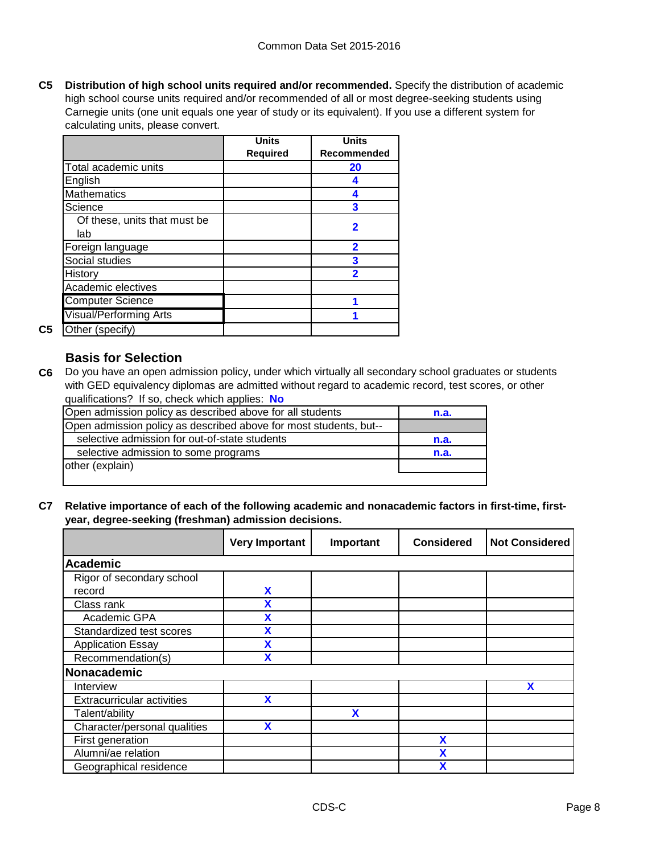**C5 Distribution of high school units required and/or recommended.** Specify the distribution of academic high school course units required and/or recommended of all or most degree-seeking students using Carnegie units (one unit equals one year of study or its equivalent). If you use a different system for calculating units, please convert.

|                               | <b>Units</b>    | <b>Units</b> |
|-------------------------------|-----------------|--------------|
|                               | <b>Required</b> | Recommended  |
| Total academic units          |                 | 20           |
| English                       |                 |              |
| <b>Mathematics</b>            |                 |              |
| Science                       |                 | 3            |
| Of these, units that must be  |                 | 2            |
| lab                           |                 |              |
| Foreign language              |                 | 2            |
| Social studies                |                 | 3            |
| History                       |                 | 2            |
| Academic electives            |                 |              |
| <b>Computer Science</b>       |                 |              |
| <b>Visual/Performing Arts</b> |                 |              |
| Other (specify)               |                 |              |

### **Basis for Selection**

**C5** Other (specify)

**C6** Do you have an open admission policy, under which virtually all secondary school graduates or students with GED equivalency diplomas are admitted without regard to academic record, test scores, or other qualifications? If so, check which applies: **No**

| Open admission policy as described above for all students         | n.a. |
|-------------------------------------------------------------------|------|
| Open admission policy as described above for most students, but-- |      |
| selective admission for out-of-state students                     | n.a. |
| selective admission to some programs                              | n.a. |
| other (explain)                                                   |      |
|                                                                   |      |

**C7 Relative importance of each of the following academic and nonacademic factors in first-time, firstyear, degree-seeking (freshman) admission decisions.**

|                                   | <b>Very Important</b> | Important | <b>Considered</b> | <b>Not Considered</b> |
|-----------------------------------|-----------------------|-----------|-------------------|-----------------------|
| Academic                          |                       |           |                   |                       |
| Rigor of secondary school         |                       |           |                   |                       |
| record                            | X                     |           |                   |                       |
| Class rank                        | X                     |           |                   |                       |
| Academic GPA                      | χ                     |           |                   |                       |
| Standardized test scores          |                       |           |                   |                       |
| <b>Application Essay</b>          |                       |           |                   |                       |
| Recommendation(s)                 |                       |           |                   |                       |
| Nonacademic                       |                       |           |                   |                       |
| Interview                         |                       |           |                   | X                     |
| <b>Extracurricular activities</b> | X                     |           |                   |                       |
| Talent/ability                    |                       | X         |                   |                       |
| Character/personal qualities      | X                     |           |                   |                       |
| First generation                  |                       |           | χ                 |                       |
| Alumni/ae relation                |                       |           |                   |                       |
| Geographical residence            |                       |           |                   |                       |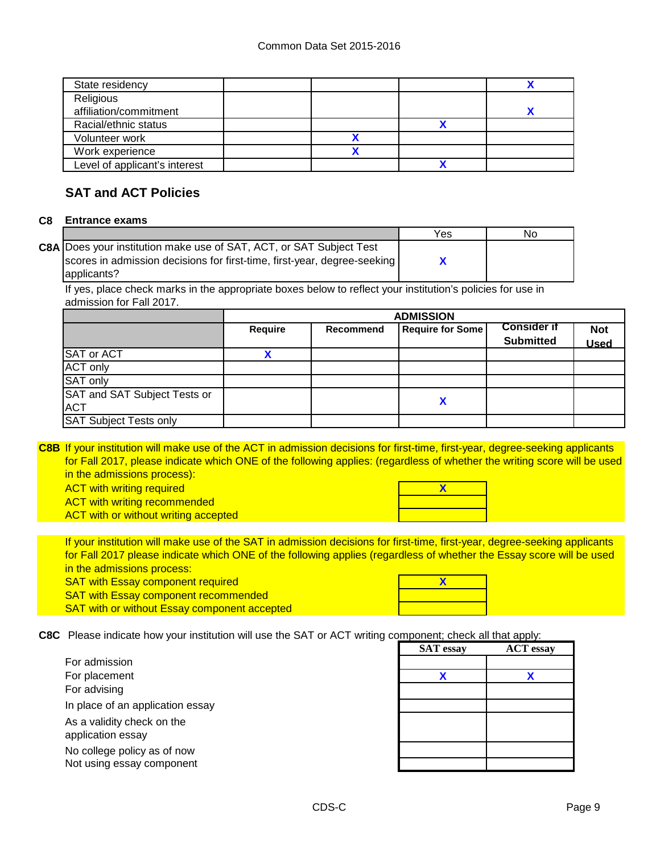| State residency               |  |  |
|-------------------------------|--|--|
| Religious                     |  |  |
| affiliation/commitment        |  |  |
| Racial/ethnic status          |  |  |
| Volunteer work                |  |  |
| Work experience               |  |  |
| Level of applicant's interest |  |  |
|                               |  |  |

### **SAT and ACT Policies**

#### **C8 Entrance exams**

|                                                                          | Yes | No |
|--------------------------------------------------------------------------|-----|----|
| C8A Does your institution make use of SAT, ACT, or SAT Subject Test      |     |    |
| scores in admission decisions for first-time, first-year, degree-seeking |     |    |
| applicants?                                                              |     |    |

If yes, place check marks in the appropriate boxes below to reflect your institution's policies for use in admission for Fall 2017.

|                                            | <b>ADMISSION</b> |           |                         |                                        |                           |
|--------------------------------------------|------------------|-----------|-------------------------|----------------------------------------|---------------------------|
|                                            | <b>Require</b>   | Recommend | <b>Require for Some</b> | <b>Consider if</b><br><b>Submitted</b> | <b>Not</b><br><b>Used</b> |
| SAT or ACT                                 |                  |           |                         |                                        |                           |
| <b>ACT only</b>                            |                  |           |                         |                                        |                           |
| SAT only                                   |                  |           |                         |                                        |                           |
| SAT and SAT Subject Tests or<br><b>ACT</b> |                  |           | Χ                       |                                        |                           |
| <b>SAT Subject Tests only</b>              |                  |           |                         |                                        |                           |

**C8B** If your institution will make use of the ACT in admission decisions for first-time, first-year, degree-seeking applicants for Fall 2017, please indicate which ONE of the following applies: (regardless of whether the writing score will be used in the admissions process):

ACT with writing required

ACT with writing recommended **ACT** with or without writing accepted



If your institution will make use of the SAT in admission decisions for first-time, first-year, degree-seeking applicants SAT with Essay component required for Fall 2017 please indicate which ONE of the following applies (regardless of whether the Essay score will be used in the admissions process:

SAT with Essay component recommended SAT with or without Essay component accepted **X**

**C8C** Please indicate how your institution will use the SAT or ACT writing component; check all that apply:

| For admission                    |  |
|----------------------------------|--|
| For placement                    |  |
| For advising                     |  |
| In place of an application essay |  |
| As a validity check on the       |  |
| application essay                |  |
| No college policy as of now      |  |
| Not using essay component        |  |

| omponent; cneck all that apply: |                  |  |  |
|---------------------------------|------------------|--|--|
| <b>SAT</b> essay                | <b>ACT</b> essay |  |  |
|                                 |                  |  |  |
| X                               | x                |  |  |
|                                 |                  |  |  |
|                                 |                  |  |  |
|                                 |                  |  |  |
|                                 |                  |  |  |
|                                 |                  |  |  |
|                                 |                  |  |  |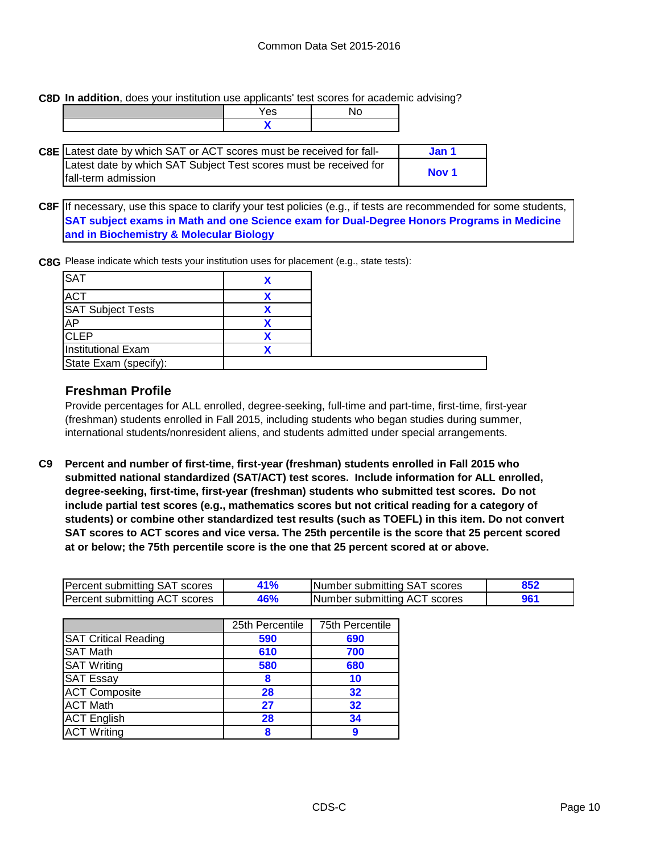**C8D In addition**, does your institution use applicants' test scores for academic advising?

| es. |  |
|-----|--|
|     |  |

| C8E Latest date by which SAT or ACT scores must be received for fall- | Jan 1 |
|-----------------------------------------------------------------------|-------|
| Latest date by which SAT Subject Test scores must be received for     |       |
| Ifall-term admission                                                  | Nov 1 |

**C8F** If necessary, use this space to clarify your test policies (e.g., if tests are recommended for some students, **SAT subject exams in Math and one Science exam for Dual-Degree Honors Programs in Medicine and in Biochemistry & Molecular Biology**

**C8G** Please indicate which tests your institution uses for placement (e.g., state tests):

| SAT                      |  |
|--------------------------|--|
| ACT                      |  |
| <b>SAT Subject Tests</b> |  |
| AP                       |  |
| <b>CLEP</b>              |  |
| Institutional Exam       |  |
| State Exam (specify):    |  |

### **Freshman Profile**

Provide percentages for ALL enrolled, degree-seeking, full-time and part-time, first-time, first-year (freshman) students enrolled in Fall 2015, including students who began studies during summer, international students/nonresident aliens, and students admitted under special arrangements.

**C9 Percent and number of first-time, first-year (freshman) students enrolled in Fall 2015 who submitted national standardized (SAT/ACT) test scores. Include information for ALL enrolled, degree-seeking, first-time, first-year (freshman) students who submitted test scores. Do not include partial test scores (e.g., mathematics scores but not critical reading for a category of students) or combine other standardized test results (such as TOEFL) in this item. Do not convert SAT scores to ACT scores and vice versa. The 25th percentile is the score that 25 percent scored at or below; the 75th percentile score is the one that 25 percent scored at or above.**

| Percent submitting SAT scores | 1%  | Number submitting SAT scores |  |
|-------------------------------|-----|------------------------------|--|
| Percent submitting ACT scores | 46% | Number submitting ACT scores |  |

|                             | 25th Percentile | 75th Percentile |
|-----------------------------|-----------------|-----------------|
| <b>SAT Critical Reading</b> | 590             | 690             |
| <b>SAT Math</b>             | 610             | 700             |
| <b>SAT Writing</b>          | 580             | 680             |
| <b>SAT Essay</b>            | 8               | 10              |
| <b>ACT Composite</b>        | 28              | 32              |
| <b>ACT Math</b>             | 27              | 32              |
| <b>ACT</b> English          | 28              | 34              |
| <b>ACT Writing</b>          | 8               |                 |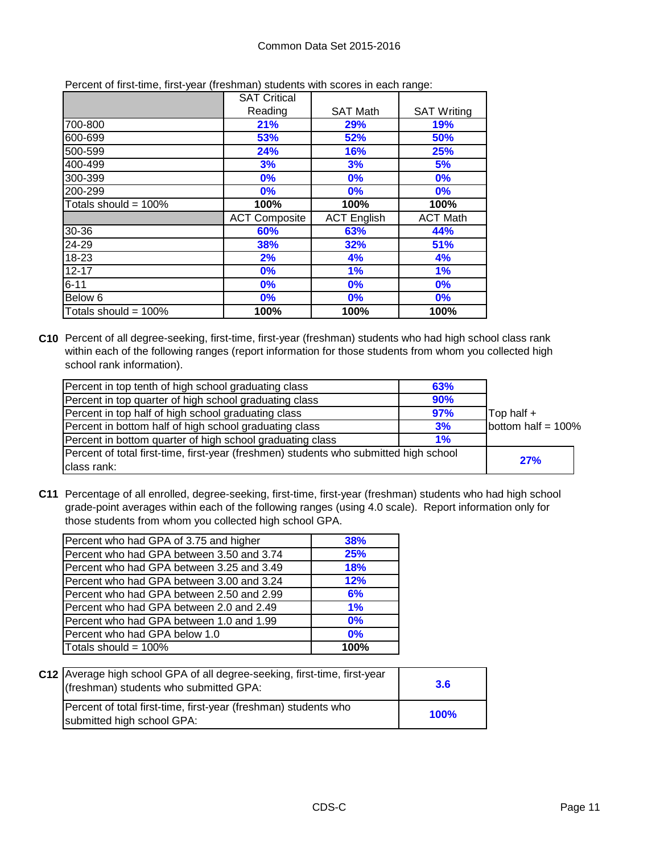|                         | <b>SAT Critical</b>  |                    |                    |
|-------------------------|----------------------|--------------------|--------------------|
|                         | Reading              | <b>SAT Math</b>    | <b>SAT Writing</b> |
| 700-800                 | 21%                  | 29%                | 19%                |
| 600-699                 | 53%                  | 52%                | 50%                |
| 500-599                 | 24%                  | 16%                | 25%                |
| 400-499                 | 3%                   | 3%                 | 5%                 |
| 300-399                 | 0%                   | 0%                 | 0%                 |
| 200-299                 | 0%                   | $0\%$              | 0%                 |
| Totals should = $100\%$ | 100%                 | 100%               | 100%               |
|                         | <b>ACT Composite</b> | <b>ACT English</b> | <b>ACT Math</b>    |
| 30-36                   | 60%                  | 63%                | 44%                |
| 24-29                   | 38%                  | 32%                | 51%                |
| 18-23                   | 2%                   | 4%                 | 4%                 |
| $12 - 17$               | 0%                   | 1%                 | 1%                 |
| $6 - 11$                | 0%                   | 0%                 | 0%                 |
| Below 6                 | 0%                   | 0%                 | 0%                 |
| Totals should = $100\%$ | 100%                 | 100%               | 100%               |

Percent of first-time, first-year (freshman) students with scores in each range:

**C10** Percent of all degree-seeking, first-time, first-year (freshman) students who had high school class rank within each of the following ranges (report information for those students from whom you collected high school rank information).

| Percent in top tenth of high school graduating class                                  | 63% |                       |
|---------------------------------------------------------------------------------------|-----|-----------------------|
| Percent in top quarter of high school graduating class                                | 90% |                       |
| Percent in top half of high school graduating class                                   | 97% | Top half +            |
| Percent in bottom half of high school graduating class                                | 3%  | bottom half = $100\%$ |
| Percent in bottom quarter of high school graduating class                             | 1%  |                       |
| Percent of total first-time, first-year (freshmen) students who submitted high school |     | 27%                   |
| class rank:                                                                           |     |                       |

**C11** Percentage of all enrolled, degree-seeking, first-time, first-year (freshman) students who had high school grade-point averages within each of the following ranges (using 4.0 scale). Report information only for those students from whom you collected high school GPA.

| Percent who had GPA of 3.75 and higher    | <b>38%</b> |
|-------------------------------------------|------------|
| Percent who had GPA between 3.50 and 3.74 | <b>25%</b> |
| Percent who had GPA between 3.25 and 3.49 | 18%        |
| Percent who had GPA between 3.00 and 3.24 | 12%        |
| Percent who had GPA between 2.50 and 2.99 | 6%         |
| Percent who had GPA between 2.0 and 2.49  | 1%         |
| Percent who had GPA between 1.0 and 1.99  | 0%         |
| Percent who had GPA below 1.0             | 0%         |
| Totals should = 100%                      | 100%       |

| C12   Average high school GPA of all degree-seeking, first-time, first-year<br>(freshman) students who submitted GPA: | 3.6  |
|-----------------------------------------------------------------------------------------------------------------------|------|
| Percent of total first-time, first-year (freshman) students who<br>submitted high school GPA:                         | 100% |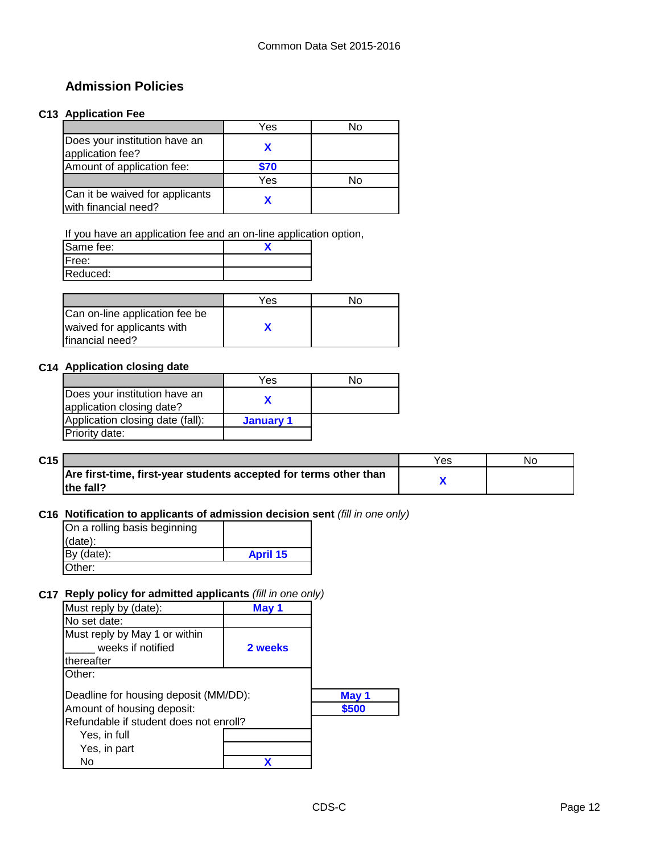### **Admission Policies**

#### **C13 Application Fee**

|                                                         | Yes  | N٥ |
|---------------------------------------------------------|------|----|
| Does your institution have an<br>application fee?       |      |    |
| Amount of application fee:                              | \$70 |    |
|                                                         | Yes  | N٥ |
| Can it be waived for applicants<br>with financial need? |      |    |

If you have an application fee and an on-line application option,

| Same fee: |  |
|-----------|--|
| Free:     |  |
| Reduced:  |  |

|                                | Yes | Nο |
|--------------------------------|-----|----|
| Can on-line application fee be |     |    |
| waived for applicants with     |     |    |
| Ifinancial need?               |     |    |

#### **C14 Application closing date**

|                                                            | Yes       | Nο |
|------------------------------------------------------------|-----------|----|
| Does your institution have an<br>application closing date? |           |    |
| Application closing date (fall):                           | January 1 |    |
| Priority date:                                             |           |    |

| C15 |                                                                   | Y es | NG. |
|-----|-------------------------------------------------------------------|------|-----|
|     | Are first-time, first-year students accepted for terms other than |      |     |
|     | lthe fall?                                                        |      |     |

### **C16 Notification to applicants of admission decision sent** *(fill in one only)*

| On a rolling basis beginning |                 |
|------------------------------|-----------------|
| (data):                      |                 |
| By (date):                   | <b>April 15</b> |
| Other:                       |                 |

### **C17 Reply policy for admitted applicants** *(fill in one only)*

| Must reply by (date):                  | May 1   |       |
|----------------------------------------|---------|-------|
| No set date:                           |         |       |
| Must reply by May 1 or within          |         |       |
| weeks if notified                      | 2 weeks |       |
| thereafter                             |         |       |
| Other:                                 |         |       |
| Deadline for housing deposit (MM/DD):  |         | May 1 |
| Amount of housing deposit:             |         | \$500 |
| Refundable if student does not enroll? |         |       |
| Yes, in full                           |         |       |
| Yes, in part                           |         |       |
| No                                     |         |       |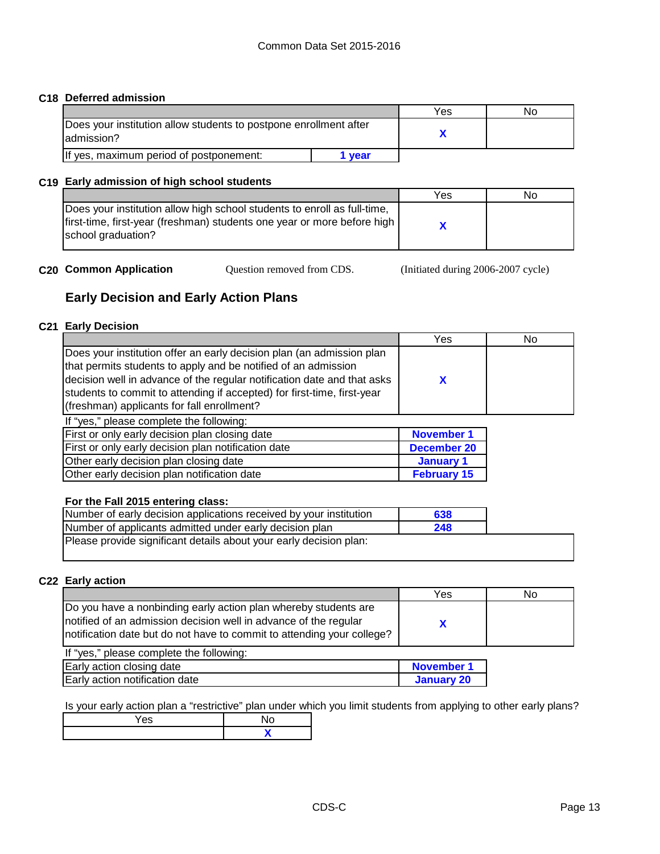#### **C18 Deferred admission**

|                                                                                  |      | Yes | N٥ |
|----------------------------------------------------------------------------------|------|-----|----|
| Does your institution allow students to postpone enrollment after<br>ladmission? |      |     |    |
| If yes, maximum period of postponement:                                          | vear |     |    |

### **C19 Early admission of high school students**

|                                                                          | Yes | No |
|--------------------------------------------------------------------------|-----|----|
| Does your institution allow high school students to enroll as full-time, |     |    |
| first-time, first-year (freshman) students one year or more before high  |     |    |
| school graduation?                                                       |     |    |
|                                                                          |     |    |

**C20 Common Application** Cuestion removed from CDS. (Initiated during 2006-2007 cycle)

### **Early Decision and Early Action Plans**

#### **C21 Early Decision**

| Yes                | No |
|--------------------|----|
| X                  |    |
|                    |    |
| <b>November 1</b>  |    |
| <b>December 20</b> |    |
| January 1          |    |
| <b>February 15</b> |    |
|                    |    |

#### **For the Fall 2015 entering class:**

| Number of early decision applications received by your institution | 638 |  |
|--------------------------------------------------------------------|-----|--|
| Number of applicants admitted under early decision plan            | 248 |  |
| Please provide significant details about your early decision plan: |     |  |
|                                                                    |     |  |

#### **C22 Early action**

| Do you have a nonbinding early action plan whereby students are<br>notified of an admission decision well in advance of the regular<br>notification date but do not have to commit to attending your college? |  |
|---------------------------------------------------------------------------------------------------------------------------------------------------------------------------------------------------------------|--|

| If "yes," please complete the following: |            |
|------------------------------------------|------------|
| Early action closing date                | November 1 |
| Early action notification date           | January 20 |

Is your early action plan a "restrictive" plan under which you limit students from applying to other early plans?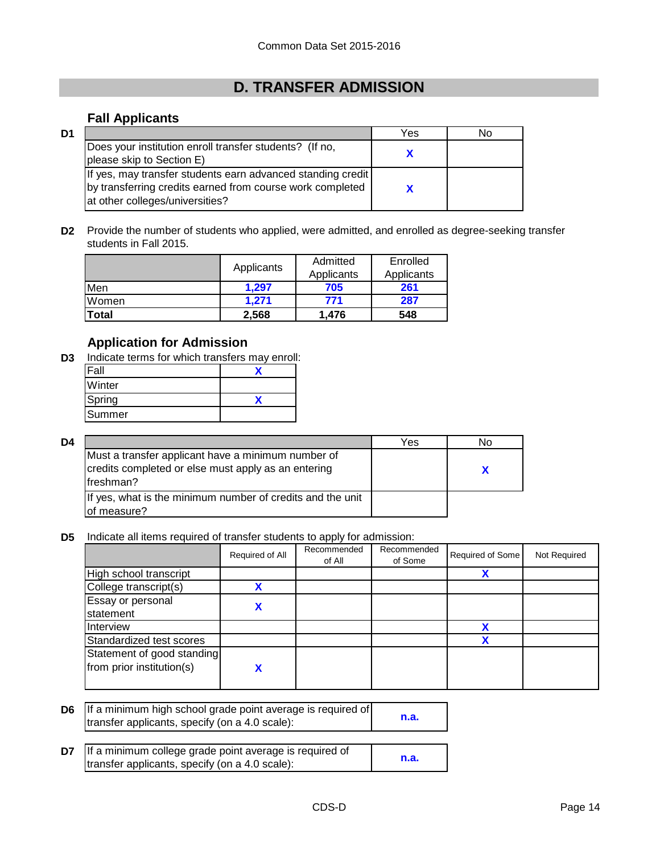# **D. TRANSFER ADMISSION**

### **Fall Applicants**

| D1 |                                                                                                                                                             | Yes | N٥ |
|----|-------------------------------------------------------------------------------------------------------------------------------------------------------------|-----|----|
|    | Does your institution enroll transfer students? (If no,<br>please skip to Section E)                                                                        |     |    |
|    | If yes, may transfer students earn advanced standing credit<br>by transferring credits earned from course work completed<br>at other colleges/universities? |     |    |

**D2** Provide the number of students who applied, were admitted, and enrolled as degree-seeking transfer students in Fall 2015.

|       | Applicants | Admitted<br>Applicants | Enrolled<br>Applicants |
|-------|------------|------------------------|------------------------|
| Men   | 1.297      | 705                    | 261                    |
| Women | 1.271      | 771                    | 287                    |
| Total | 2,568      | 1.476                  | 548                    |

### **Application for Admission**

**D3** Indicate terms for which transfers may enroll:

| ΄al    |  |
|--------|--|
| Winter |  |
| Spring |  |
| Summer |  |

| D4 |                                                                                                                         | Yes | No |
|----|-------------------------------------------------------------------------------------------------------------------------|-----|----|
|    | Must a transfer applicant have a minimum number of<br>credits completed or else must apply as an entering<br>lfreshman? |     |    |
|    | If yes, what is the minimum number of credits and the unit<br>of measure?                                               |     |    |

**D5** Indicate all items required of transfer students to apply for admission:

|                                                         | Required of All | Recommended<br>of All | Recommended<br>of Some | Required of Some | Not Required |
|---------------------------------------------------------|-----------------|-----------------------|------------------------|------------------|--------------|
| High school transcript                                  |                 |                       |                        |                  |              |
| College transcript(s)                                   | v               |                       |                        |                  |              |
| Essay or personal<br>statement                          |                 |                       |                        |                  |              |
| Interview                                               |                 |                       |                        | χ                |              |
| Standardized test scores                                |                 |                       |                        |                  |              |
| Statement of good standing<br>from prior institution(s) |                 |                       |                        |                  |              |

| D6 | If a minimum high school grade point average is required of<br>transfer applicants, specify (on a 4.0 scale): | n.a. |
|----|---------------------------------------------------------------------------------------------------------------|------|
| D7 | If a minimum college grade point average is required of<br>transfer applicants, specify (on a 4.0 scale):     | n.a. |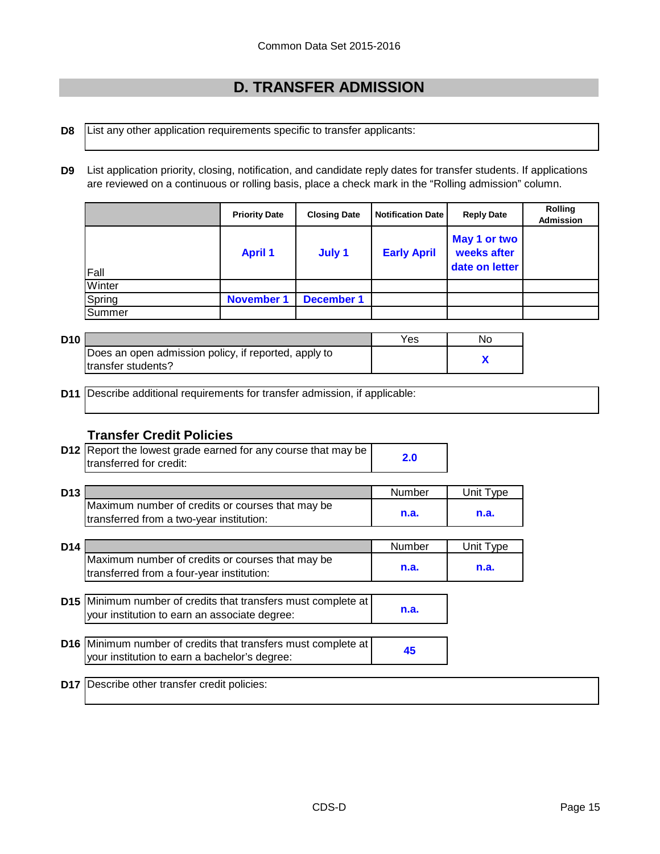# **D. TRANSFER ADMISSION**

- **D8** List any other application requirements specific to transfer applicants:
- **D9** List application priority, closing, notification, and candidate reply dates for transfer students. If applications are reviewed on a continuous or rolling basis, place a check mark in the "Rolling admission" column.

|               | <b>Priority Date</b> | <b>Closing Date</b> | <b>Notification Date</b> | <b>Reply Date</b>                             | <b>Rolling</b><br><b>Admission</b> |
|---------------|----------------------|---------------------|--------------------------|-----------------------------------------------|------------------------------------|
| <b>Fall</b>   | <b>April 1</b>       | July 1              | <b>Early April</b>       | May 1 or two<br>weeks after<br>date on letter |                                    |
| Winter        |                      |                     |                          |                                               |                                    |
| Spring        | <b>November 1</b>    | <b>December 1</b>   |                          |                                               |                                    |
| <b>Summer</b> |                      |                     |                          |                                               |                                    |

| D <sub>10</sub> |                                                      | Yes | No |
|-----------------|------------------------------------------------------|-----|----|
|                 | Does an open admission policy, if reported, apply to |     |    |
|                 | Itransfer students?                                  |     |    |

**D11** Describe additional requirements for transfer admission, if applicable:

### **Transfer Credit Policies**

**D12 Report the lowest grade earned for any course that may be <br>
<b>Example 12.0** transferred for credit: transferred for credit:

| D <sub>13</sub> |                                                                                                                       | Number | Unit Type |
|-----------------|-----------------------------------------------------------------------------------------------------------------------|--------|-----------|
|                 | Maximum number of credits or courses that may be<br>transferred from a two-year institution:                          | n.a.   | n.a.      |
| D <sub>14</sub> |                                                                                                                       | Number | Unit Type |
|                 | Maximum number of credits or courses that may be<br>transferred from a four-year institution:                         | n.a.   | n.a.      |
|                 |                                                                                                                       |        |           |
|                 | <b>D15</b> Minimum number of credits that transfers must complete at<br>your institution to earn an associate degree: | n.a.   |           |
|                 |                                                                                                                       |        |           |
|                 | D16 Minimum number of credits that transfers must complete at<br>your institution to earn a bachelor's degree:        | 45     |           |
| <b>D17</b>      | Describe other transfer credit policies:                                                                              |        |           |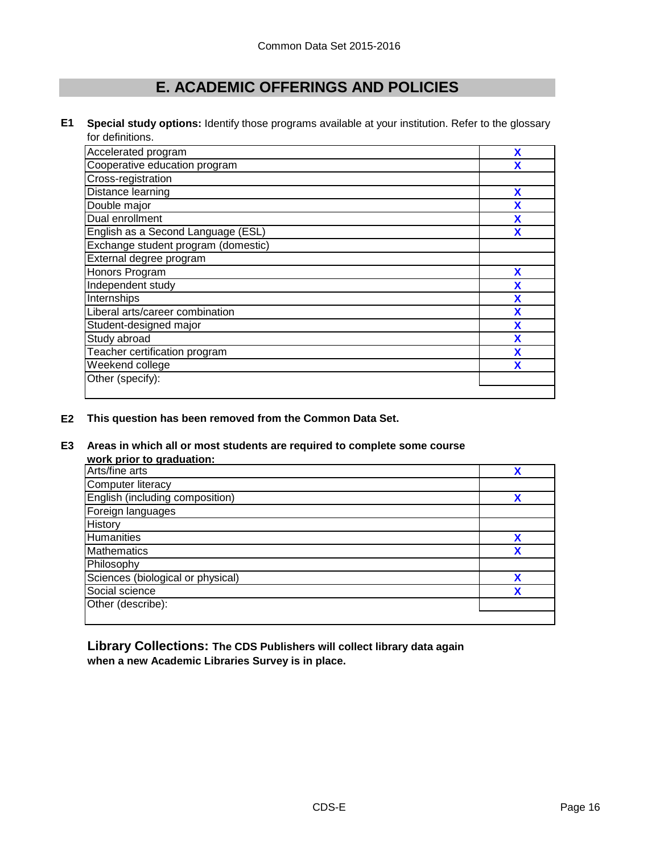# **E. ACADEMIC OFFERINGS AND POLICIES**

**E1 Special study options:** Identify those programs available at your institution. Refer to the glossary for definitions.

| Accelerated program                 | χ |
|-------------------------------------|---|
| Cooperative education program       | X |
| Cross-registration                  |   |
| Distance learning                   | X |
| Double major                        | X |
| Dual enrollment                     | X |
| English as a Second Language (ESL)  | X |
| Exchange student program (domestic) |   |
| External degree program             |   |
| Honors Program                      | X |
| Independent study                   | X |
| Internships                         | χ |
| Liberal arts/career combination     | χ |
| Student-designed major              | χ |
| Study abroad                        | χ |
| Teacher certification program       | χ |
| Weekend college                     | χ |
| Other (specify):                    |   |

**E2 This question has been removed from the Common Data Set.**

#### **E3 Areas in which all or most students are required to complete some course work prior to graduation:**

| WOI'N DITOI TO GIAUUALIOIT.       |   |
|-----------------------------------|---|
| Arts/fine arts                    | χ |
| Computer literacy                 |   |
| English (including composition)   | X |
| Foreign languages                 |   |
| <b>History</b>                    |   |
| <b>Humanities</b>                 | χ |
| <b>Mathematics</b>                | v |
| Philosophy                        |   |
| Sciences (biological or physical) | χ |
| Social science                    | χ |
| Other (describe):                 |   |
|                                   |   |

**Library Collections: The CDS Publishers will collect library data again when a new Academic Libraries Survey is in place.**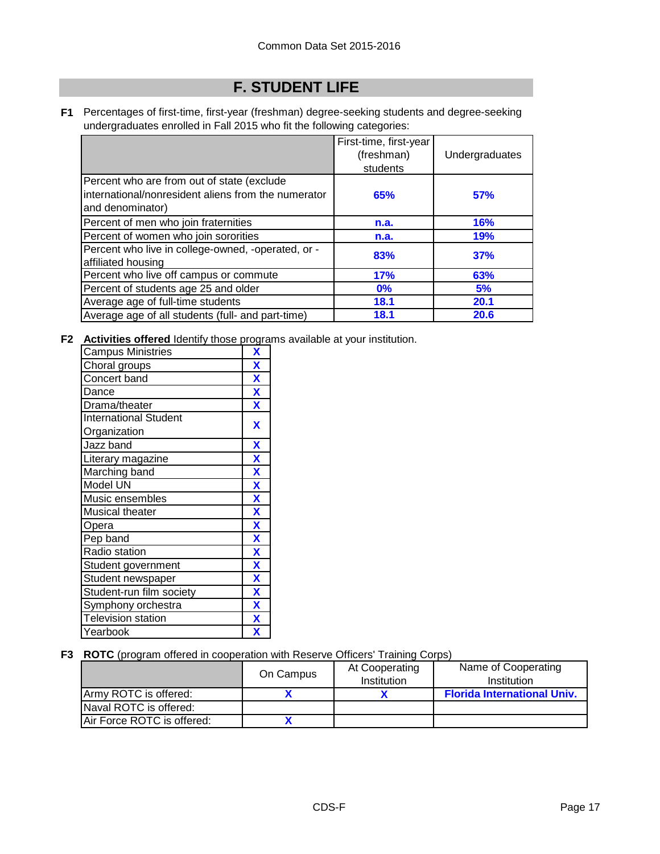# **F. STUDENT LIFE**

**F1** Percentages of first-time, first-year (freshman) degree-seeking students and degree-seeking undergraduates enrolled in Fall 2015 who fit the following categories:

|                                                                                                                       | First-time, first-year<br>(freshman)<br>students | Undergraduates |
|-----------------------------------------------------------------------------------------------------------------------|--------------------------------------------------|----------------|
| Percent who are from out of state (exclude<br>international/nonresident aliens from the numerator<br>and denominator) | 65%                                              | 57%            |
| Percent of men who join fraternities                                                                                  | n.a.                                             | <b>16%</b>     |
| Percent of women who join sororities                                                                                  | n.a.                                             | <b>19%</b>     |
| Percent who live in college-owned, -operated, or -<br>affiliated housing                                              | 83%                                              | 37%            |
| Percent who live off campus or commute                                                                                | 17%                                              | 63%            |
| Percent of students age 25 and older                                                                                  | $0\%$                                            | 5%             |
| Average age of full-time students                                                                                     | 18.1                                             | 20.1           |
| Average age of all students (full- and part-time)                                                                     | 18.1                                             | 20.6           |

**F2 Activities offered** Identify those programs available at your institution.

| <b>Campus Ministries</b>     | X                       |
|------------------------------|-------------------------|
| Choral groups                | $\overline{\mathbf{X}}$ |
| Concert band                 | $\overline{\mathbf{X}}$ |
| Dance                        | $\mathbf x$             |
| Drama/theater                | $\overline{\textbf{X}}$ |
| <b>International Student</b> | X                       |
| Organization                 |                         |
| Jazz band                    | X                       |
| Literary magazine            | X                       |
| Marching band                | $\overline{\mathbf{X}}$ |
| Model UN                     | $\overline{\textbf{x}}$ |
| Music ensembles              | $\overline{\mathbf{X}}$ |
| Musical theater              | X                       |
| Opera                        | X                       |
| Pep band                     | X                       |
| Radio station                | X                       |
| Student government           | $\overline{\mathbf{X}}$ |
| Student newspaper            | X                       |
| Student-run film society     | X                       |
| Symphony orchestra           | $\overline{\mathbf{X}}$ |
| <b>Television station</b>    | X                       |
| Yearbook                     | X                       |

### **F3 ROTC** (program offered in cooperation with Reserve Officers' Training Corps)

|                            | On Campus | At Cooperating<br>Institution | Name of Cooperating<br>Institution |
|----------------------------|-----------|-------------------------------|------------------------------------|
| Army ROTC is offered:      |           |                               | <b>Florida International Univ.</b> |
| Naval ROTC is offered:     |           |                               |                                    |
| Air Force ROTC is offered: |           |                               |                                    |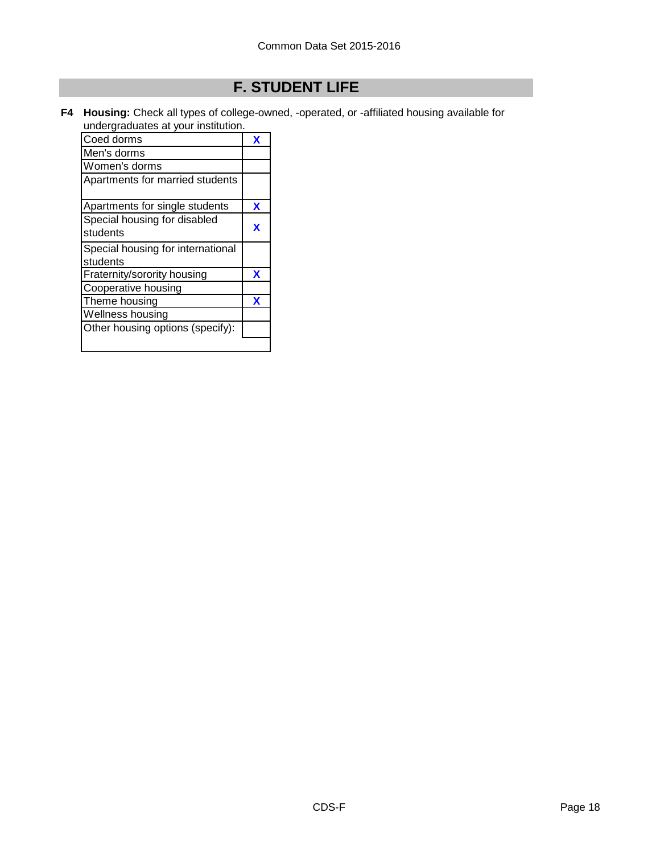# **F. STUDENT LIFE**

**F4 Housing:** Check all types of college-owned, -operated, or -affiliated housing available for undergraduates at your institution.

| Coed dorms                        |   |
|-----------------------------------|---|
| Men's dorms                       |   |
| Women's dorms                     |   |
| Apartments for married students   |   |
| Apartments for single students    | x |
| Special housing for disabled      |   |
| students                          | x |
| Special housing for international |   |
| students                          |   |
| Fraternity/sorority housing       | x |
| Cooperative housing               |   |
| Theme housing                     | x |
| Wellness housing                  |   |
| Other housing options (specify):  |   |
|                                   |   |
|                                   |   |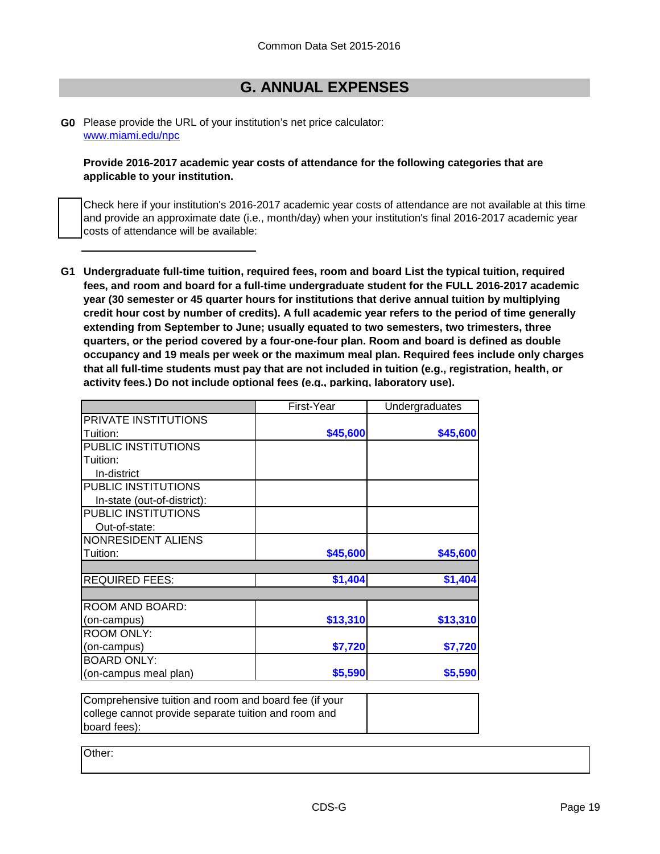### **G. ANNUAL EXPENSES**

#### **G0** Please provide the URL of your institution's net price calculator: [www.miami.edu/npc](http://www.miami.edu/npc)

#### **Provide 2016-2017 academic year costs of attendance for the following categories that are applicable to your institution.**

Check here if your institution's 2016-2017 academic year costs of attendance are not available at this time and provide an approximate date (i.e., month/day) when your institution's final 2016-2017 academic year costs of attendance will be available:

**G1 Undergraduate full-time tuition, required fees, room and board List the typical tuition, required fees, and room and board for a full-time undergraduate student for the FULL 2016-2017 academic year (30 semester or 45 quarter hours for institutions that derive annual tuition by multiplying credit hour cost by number of credits). A full academic year refers to the period of time generally extending from September to June; usually equated to two semesters, two trimesters, three quarters, or the period covered by a four-one-four plan. Room and board is defined as double occupancy and 19 meals per week or the maximum meal plan. Required fees include only charges that all full-time students must pay that are not included in tuition (e.g., registration, health, or activity fees.) Do not include optional fees (e.g., parking, laboratory use).**

|                                                       | First-Year | Undergraduates |
|-------------------------------------------------------|------------|----------------|
| PRIVATE INSTITUTIONS                                  |            |                |
| Tuition:                                              | \$45,600   | \$45,600       |
| PUBLIC INSTITUTIONS                                   |            |                |
| Tuition:                                              |            |                |
| In-district                                           |            |                |
| PUBLIC INSTITUTIONS                                   |            |                |
| In-state (out-of-district):                           |            |                |
| PUBLIC INSTITUTIONS                                   |            |                |
| Out-of-state:                                         |            |                |
| <b>NONRESIDENT ALIENS</b>                             |            |                |
| Tuition:                                              | \$45,600   | \$45,600       |
|                                                       |            |                |
| <b>REQUIRED FEES:</b>                                 | \$1,404    | \$1,404        |
|                                                       |            |                |
| ROOM AND BOARD:                                       |            |                |
| (on-campus)                                           | \$13,310   | \$13,310       |
| <b>ROOM ONLY:</b>                                     |            |                |
| (on-campus)                                           | \$7,720    | \$7,720        |
| <b>BOARD ONLY:</b>                                    |            |                |
| (on-campus meal plan)                                 | \$5,590    | \$5,590        |
|                                                       |            |                |
| Comprehensive tuition and room and board fee (if your |            |                |
| college cannot provide separate tuition and room and  |            |                |
| board fees):                                          |            |                |

Other: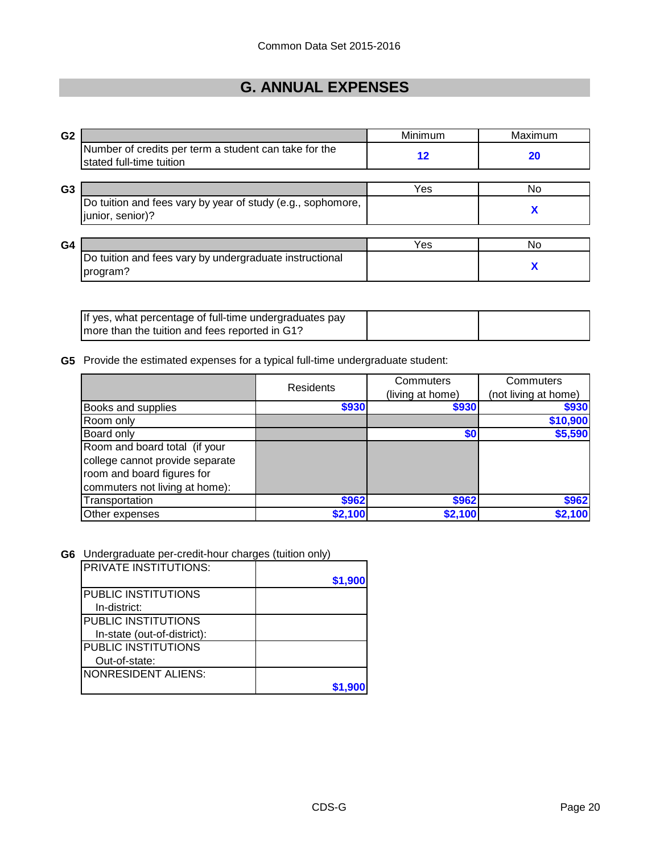# **G. ANNUAL EXPENSES**

| G <sub>2</sub> |                                                                                   | Minimum | Maximum |
|----------------|-----------------------------------------------------------------------------------|---------|---------|
|                | Number of credits per term a student can take for the<br>stated full-time tuition | 12      | 20      |
| G <sub>3</sub> |                                                                                   | Yes     | No      |
|                | Do tuition and fees vary by year of study (e.g., sophomore,<br>junior, senior)?   |         | X       |
|                |                                                                                   |         |         |
| G <sub>4</sub> |                                                                                   | Yes     | No      |
|                | Do tuition and fees vary by undergraduate instructional<br>program?               |         | A       |

| If yes, what percentage of full-time undergraduates pay |  |
|---------------------------------------------------------|--|
| I more than the tuition and fees reported in G1?        |  |

**G5** Provide the estimated expenses for a typical full-time undergraduate student:

|                                 | <b>Residents</b> | Commuters        | Commuters            |
|---------------------------------|------------------|------------------|----------------------|
|                                 |                  | (living at home) | (not living at home) |
| Books and supplies              | \$930            | \$930            | \$930                |
| Room only                       |                  |                  | \$10,900             |
| Board only                      |                  | \$0              | \$5,590              |
| Room and board total (if your   |                  |                  |                      |
| college cannot provide separate |                  |                  |                      |
| room and board figures for      |                  |                  |                      |
| commuters not living at home):  |                  |                  |                      |
| Transportation                  | \$962            | \$962            | \$962                |
| Other expenses                  | \$2,100          | \$2,100          | \$2,100              |

**G6** Undergraduate per-credit-hour charges (tuition only)

| IPRIVATE INSTITUTIONS:      | \$1,900 |
|-----------------------------|---------|
| <b>PUBLIC INSTITUTIONS</b>  |         |
| In-district:                |         |
| <b>PUBLIC INSTITUTIONS</b>  |         |
| In-state (out-of-district): |         |
| PUBLIC INSTITUTIONS         |         |
| Out-of-state:               |         |
| <b>NONRESIDENT ALIENS:</b>  |         |
|                             |         |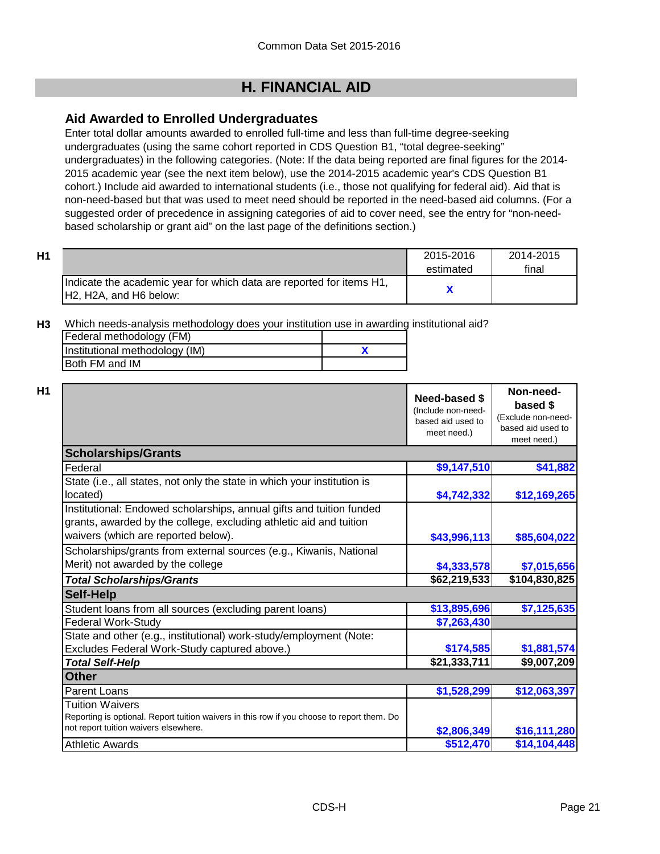### **Aid Awarded to Enrolled Undergraduates**

Enter total dollar amounts awarded to enrolled full-time and less than full-time degree-seeking undergraduates (using the same cohort reported in CDS Question B1, "total degree-seeking" undergraduates) in the following categories. (Note: If the data being reported are final figures for the 2014- 2015 academic year (see the next item below), use the 2014-2015 academic year's CDS Question B1 cohort.) Include aid awarded to international students (i.e., those not qualifying for federal aid). Aid that is non-need-based but that was used to meet need should be reported in the need-based aid columns. (For a suggested order of precedence in assigning categories of aid to cover need, see the entry for "non-needbased scholarship or grant aid" on the last page of the definitions section.)

| Η1 |                                                                      | 2015-2016 | 2014-2015 |
|----|----------------------------------------------------------------------|-----------|-----------|
|    |                                                                      | estimated | final     |
|    | Indicate the academic year for which data are reported for items H1, |           |           |
|    | IH2. H2A, and H6 below:                                              |           |           |

**H3** Which needs-analysis methodology does your institution use in awarding institutional aid?

| Federal methodology (FM)       |  |
|--------------------------------|--|
| Institutional methodology (IM) |  |
| <b>IBoth FM and IM</b>         |  |

|                                                                                                                                                                                   | Need-based \$<br>(Include non-need-<br>based aid used to<br>meet need.) | Non-need-<br>based \$<br>(Exclude non-need-<br>based aid used to<br>meet need.) |
|-----------------------------------------------------------------------------------------------------------------------------------------------------------------------------------|-------------------------------------------------------------------------|---------------------------------------------------------------------------------|
| <b>Scholarships/Grants</b>                                                                                                                                                        |                                                                         |                                                                                 |
| Federal                                                                                                                                                                           | \$9,147,510                                                             | \$41,882                                                                        |
| State (i.e., all states, not only the state in which your institution is<br>located)                                                                                              | \$4,742,332                                                             | \$12,169,265                                                                    |
| Institutional: Endowed scholarships, annual gifts and tuition funded<br>grants, awarded by the college, excluding athletic aid and tuition<br>waivers (which are reported below). | \$43,996,113                                                            | \$85,604,022                                                                    |
| Scholarships/grants from external sources (e.g., Kiwanis, National<br>Merit) not awarded by the college                                                                           | \$4,333,578                                                             | \$7,015,656                                                                     |
| <b>Total Scholarships/Grants</b>                                                                                                                                                  | \$62,219,533                                                            | \$104,830,825                                                                   |
| <b>Self-Help</b>                                                                                                                                                                  |                                                                         |                                                                                 |
| Student loans from all sources (excluding parent loans)                                                                                                                           | \$13,895,696                                                            | \$7,125,635                                                                     |
| <b>Federal Work-Study</b>                                                                                                                                                         | \$7,263,430                                                             |                                                                                 |
| State and other (e.g., institutional) work-study/employment (Note:                                                                                                                |                                                                         |                                                                                 |
| Excludes Federal Work-Study captured above.)                                                                                                                                      | \$174,585                                                               | \$1,881,574                                                                     |
| <b>Total Self-Help</b>                                                                                                                                                            | \$21,333,711                                                            | \$9,007,209                                                                     |
| <b>Other</b>                                                                                                                                                                      |                                                                         |                                                                                 |
| <b>Parent Loans</b>                                                                                                                                                               | \$1,528,299                                                             | \$12,063,397                                                                    |
| Tuition Waivers<br>Reporting is optional. Report tuition waivers in this row if you choose to report them. Do<br>not report tuition waivers elsewhere.                            | \$2,806,349                                                             | \$16,111,280                                                                    |
| <b>Athletic Awards</b>                                                                                                                                                            | \$512,470                                                               | \$14,104,448                                                                    |

**Non-need-**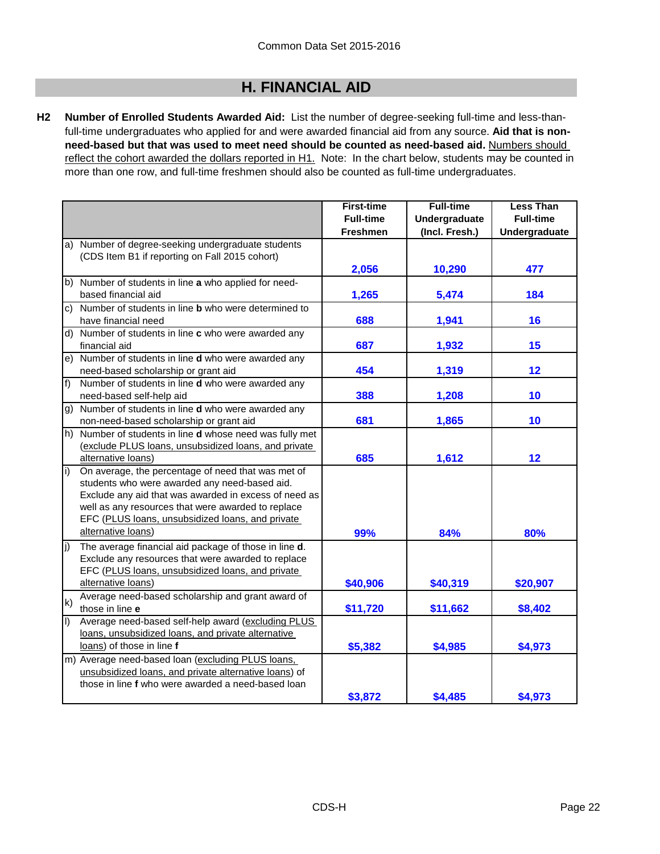**H2 Number of Enrolled Students Awarded Aid:** List the number of degree-seeking full-time and less-thanfull-time undergraduates who applied for and were awarded financial aid from any source. **Aid that is nonneed-based but that was used to meet need should be counted as need-based aid.** Numbers should reflect the cohort awarded the dollars reported in H1. Note: In the chart below, students may be counted in more than one row, and full-time freshmen should also be counted as full-time undergraduates.

|                |                                                              | <b>First-time</b> | <b>Full-time</b> | <b>Less Than</b> |
|----------------|--------------------------------------------------------------|-------------------|------------------|------------------|
|                |                                                              | <b>Full-time</b>  | Undergraduate    | <b>Full-time</b> |
|                |                                                              | <b>Freshmen</b>   | (Incl. Fresh.)   | Undergraduate    |
|                | a) Number of degree-seeking undergraduate students           |                   |                  |                  |
|                | (CDS Item B1 if reporting on Fall 2015 cohort)               |                   |                  |                  |
|                |                                                              | 2,056             | 10,290           | 477              |
|                | b) Number of students in line a who applied for need-        |                   |                  |                  |
|                | based financial aid                                          | 1,265             | 5,474            | 184              |
| C)             | Number of students in line <b>b</b> who were determined to   |                   |                  |                  |
|                | have financial need                                          | 688               | 1,941            | 16               |
|                | d) Number of students in line c who were awarded any         |                   |                  |                  |
|                | financial aid                                                | 687               | 1,932            | 15               |
| e)             | Number of students in line d who were awarded any            |                   |                  |                  |
|                | need-based scholarship or grant aid                          | 454               | 1,319            | 12               |
| $f$ )          | Number of students in line d who were awarded any            |                   |                  |                  |
|                | need-based self-help aid                                     | 388               | 1,208            | 10               |
| g)             | Number of students in line <b>d</b> who were awarded any     |                   |                  |                  |
|                | non-need-based scholarship or grant aid                      | 681               | 1,865            | 10               |
| h)             | Number of students in line <b>d</b> whose need was fully met |                   |                  |                  |
|                | (exclude PLUS loans, unsubsidized loans, and private         |                   |                  |                  |
|                | alternative loans)                                           | 685               | 1,612            | 12               |
| i)             | On average, the percentage of need that was met of           |                   |                  |                  |
|                | students who were awarded any need-based aid.                |                   |                  |                  |
|                | Exclude any aid that was awarded in excess of need as        |                   |                  |                  |
|                | well as any resources that were awarded to replace           |                   |                  |                  |
|                | EFC (PLUS loans, unsubsidized loans, and private             |                   |                  |                  |
|                | alternative loans)                                           | 99%               | 84%              | 80%              |
| (j             | The average financial aid package of those in line d.        |                   |                  |                  |
|                | Exclude any resources that were awarded to replace           |                   |                  |                  |
|                | EFC (PLUS loans, unsubsidized loans, and private             |                   |                  |                  |
|                | alternative loans)                                           | \$40,906          | \$40,319         | \$20,907         |
| k)             | Average need-based scholarship and grant award of            |                   |                  |                  |
|                | those in line e                                              | \$11,720          | \$11,662         | \$8,402          |
| $\overline{1}$ | Average need-based self-help award (excluding PLUS           |                   |                  |                  |
|                | loans, unsubsidized loans, and private alternative           |                   |                  |                  |
|                | loans) of those in line f                                    | \$5,382           | \$4,985          | \$4,973          |
|                | m) Average need-based loan (excluding PLUS loans,            |                   |                  |                  |
|                | unsubsidized loans, and private alternative loans) of        |                   |                  |                  |
|                | those in line f who were awarded a need-based loan           |                   |                  |                  |
|                |                                                              | \$3,872           | \$4,485          | \$4,973          |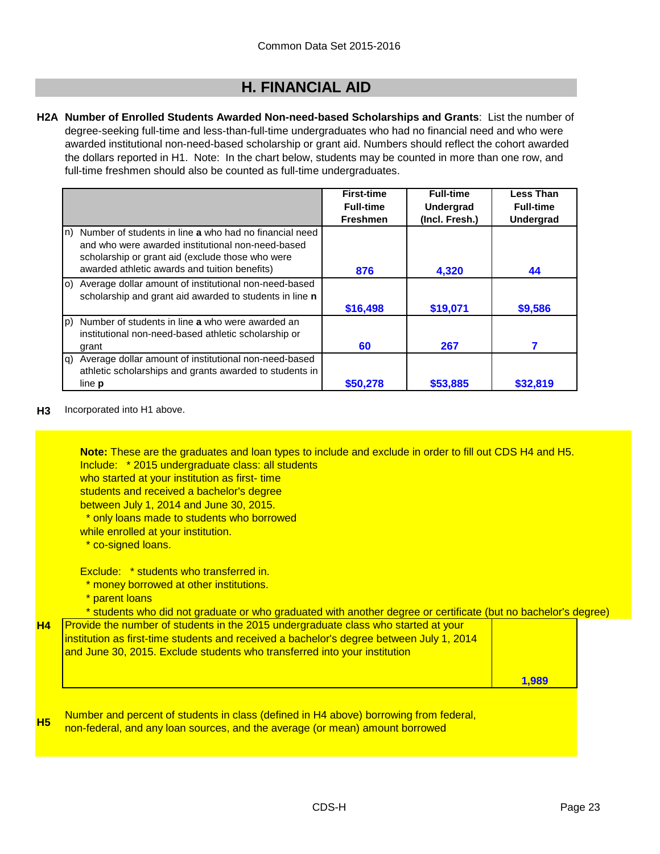**H2A Number of Enrolled Students Awarded Non-need-based Scholarships and Grants**: List the number of degree-seeking full-time and less-than-full-time undergraduates who had no financial need and who were awarded institutional non-need-based scholarship or grant aid. Numbers should reflect the cohort awarded the dollars reported in H1. Note: In the chart below, students may be counted in more than one row, and full-time freshmen should also be counted as full-time undergraduates.

|     |                                                         | <b>First-time</b> | <b>Full-time</b> | <b>Less Than</b> |
|-----|---------------------------------------------------------|-------------------|------------------|------------------|
|     |                                                         | <b>Full-time</b>  | <b>Undergrad</b> | <b>Full-time</b> |
|     |                                                         | <b>Freshmen</b>   | (Incl. Fresh.)   | <b>Undergrad</b> |
| ln) | Number of students in line a who had no financial need  |                   |                  |                  |
|     | and who were awarded institutional non-need-based       |                   |                  |                  |
|     | scholarship or grant aid (exclude those who were        |                   |                  |                  |
|     | awarded athletic awards and tuition benefits)           | 876               | 4,320            | 44               |
| lo) | Average dollar amount of institutional non-need-based   |                   |                  |                  |
|     | scholarship and grant aid awarded to students in line n |                   |                  |                  |
|     |                                                         | \$16,498          | \$19,071         | \$9,586          |
| (p  | Number of students in line a who were awarded an        |                   |                  |                  |
|     | institutional non-need-based athletic scholarship or    |                   |                  |                  |
|     | grant                                                   | 60                | 267              |                  |
| g)  | Average dollar amount of institutional non-need-based   |                   |                  |                  |
|     | athletic scholarships and grants awarded to students in |                   |                  |                  |
|     | line <b>p</b>                                           | \$50,278          | \$53,885         | \$32,819         |

**H3** Incorporated into H1 above.

Include: \* 2015 undergraduate class: all students **Note:** These are the graduates and loan types to include and exclude in order to fill out CDS H4 and H5.

who started at your institution as first- time

students and received a bachelor's degree

between July 1, 2014 and June 30, 2015.

\* only loans made to students who borrowed

while enrolled at your institution.

\* co-signed loans.

Exclude: \* students who transferred in.

\* money borrowed at other institutions.

parent loans

\* students who did not graduate or who graduated with another degree or certificate (but no bachelor's degree)

| <b>H4</b> Provide the number of students in the 2015 undergraduate class who started at your |       |
|----------------------------------------------------------------------------------------------|-------|
| institution as first-time students and received a bachelor's degree between July 1, 2014     |       |
| and June 30, 2015. Exclude students who transferred into your institution                    |       |
|                                                                                              |       |
|                                                                                              | 1.989 |

**H5** Number and percent of students in class (defined in H4 above) borrowing from federal, non-federal, and any loan sources, and the average (or mean) amount borrowed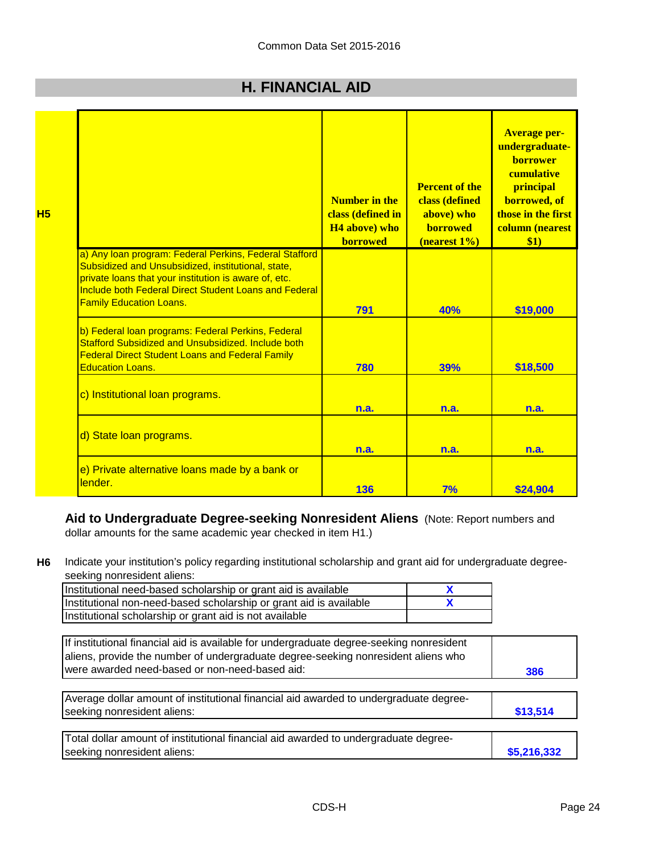|                                                                                                                                                                                                                                                                  | Number in the<br>class (defined in<br>H <sub>4</sub> above) who<br><b>borrowed</b> | <b>Percent of the</b><br>class (defined<br>above) who<br><b>borrowed</b><br>(nearest 1%) | <b>Average per-</b><br>undergraduate-<br><b>borrower</b><br>cumulative<br>principal<br>borrowed, of<br>those in the first<br>column (nearest<br>\$1) |
|------------------------------------------------------------------------------------------------------------------------------------------------------------------------------------------------------------------------------------------------------------------|------------------------------------------------------------------------------------|------------------------------------------------------------------------------------------|------------------------------------------------------------------------------------------------------------------------------------------------------|
| a) Any loan program: Federal Perkins, Federal Stafford<br>Subsidized and Unsubsidized, institutional, state,<br>private loans that your institution is aware of, etc.<br>Include both Federal Direct Student Loans and Federal<br><b>Family Education Loans.</b> | 791                                                                                | 40%                                                                                      | \$19,000                                                                                                                                             |
| b) Federal loan programs: Federal Perkins, Federal<br>Stafford Subsidized and Unsubsidized, Include both<br><b>Federal Direct Student Loans and Federal Family</b><br><b>Education Loans.</b>                                                                    | 780                                                                                | 39%                                                                                      | \$18,500                                                                                                                                             |
| c) Institutional loan programs.                                                                                                                                                                                                                                  | n.a.                                                                               | n.a.                                                                                     | n.a.                                                                                                                                                 |
| d) State loan programs.                                                                                                                                                                                                                                          | n.a.                                                                               | n.a.                                                                                     | n.a.                                                                                                                                                 |
| e) Private alternative loans made by a bank or<br>lender.                                                                                                                                                                                                        | 136                                                                                | 7%                                                                                       | \$24,904                                                                                                                                             |

**Aid to Undergraduate Degree-seeking Nonresident Aliens** (Note: Report numbers and dollar amounts for the same academic year checked in item H1.)

**H6** Indicate your institution's policy regarding institutional scholarship and grant aid for undergraduate degreeseeking nonresident aliens:

| Institutional need-based scholarship or grant aid is available     |  |
|--------------------------------------------------------------------|--|
| Institutional non-need-based scholarship or grant aid is available |  |
| Institutional scholarship or grant aid is not available            |  |

| If institutional financial aid is available for undergraduate degree-seeking nonresident<br>aliens, provide the number of undergraduate degree-seeking nonresident aliens who<br>were awarded need-based or non-need-based aid: | 386         |
|---------------------------------------------------------------------------------------------------------------------------------------------------------------------------------------------------------------------------------|-------------|
| Average dollar amount of institutional financial aid awarded to undergraduate degree-<br>seeking nonresident aliens:                                                                                                            | \$13,514    |
| Total dollar amount of institutional financial aid awarded to undergraduate degree-<br>seeking nonresident aliens:                                                                                                              | \$5,216,332 |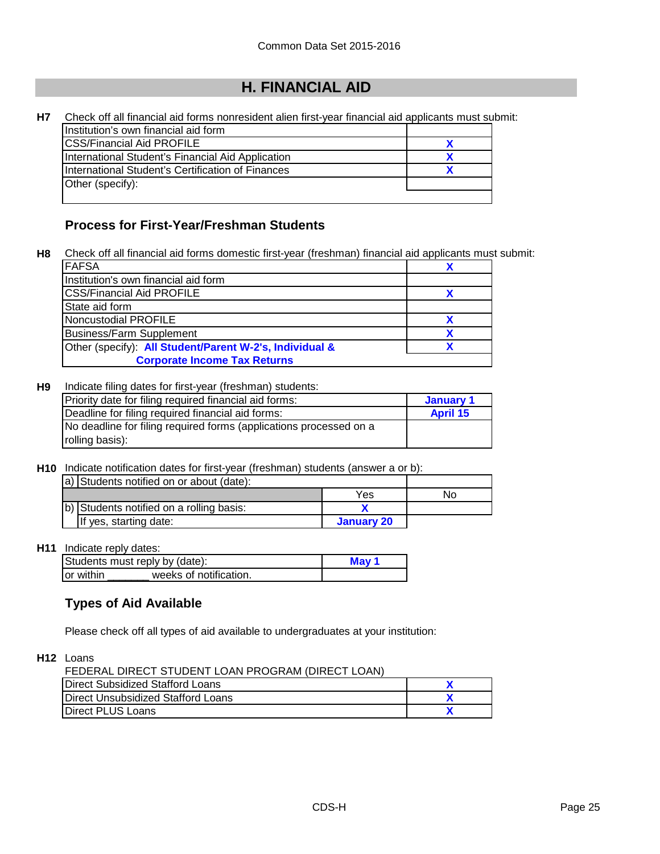| Н7 | Check off all financial aid forms nonresident alien first-year financial aid applicants must submit: |  |
|----|------------------------------------------------------------------------------------------------------|--|
|    | Institution's own financial aid form                                                                 |  |
|    | <b>ICSS/Financial Aid PROFILE</b>                                                                    |  |
|    | International Student's Financial Aid Application                                                    |  |
|    | International Student's Certification of Finances                                                    |  |
|    | Other (specify):                                                                                     |  |
|    |                                                                                                      |  |

### **Process for First-Year/Freshman Students**

**H8** Check off all financial aid forms domestic first-year (freshman) financial aid applicants must submit:

| <b>FAFSA</b>                                            |  |
|---------------------------------------------------------|--|
| Institution's own financial aid form                    |  |
| <b>ICSS/Financial Aid PROFILE</b>                       |  |
| State aid form                                          |  |
| Noncustodial PROFILE                                    |  |
| Business/Farm Supplement                                |  |
| Other (specify): All Student/Parent W-2's, Individual & |  |
| <b>Corporate Income Tax Returns</b>                     |  |

#### **H9** Indicate filing dates for first-year (freshman) students:

| Priority date for filing required financial aid forms:             | January 1       |
|--------------------------------------------------------------------|-----------------|
| Deadline for filing required financial aid forms:                  | <b>April 15</b> |
| No deadline for filing required forms (applications processed on a |                 |
| rolling basis):                                                    |                 |

### **H10** Indicate notification dates for first-year (freshman) students (answer a or b):

| a) Students notified on or about (date): |            |    |
|------------------------------------------|------------|----|
|                                          | Yes        | No |
| b) Students notified on a rolling basis: |            |    |
| If yes, starting date:                   | January 20 |    |

### **H11** Indicate reply dates:

|            | Students must reply by (date): | May 1 |  |
|------------|--------------------------------|-------|--|
| lor within | weeks of notification.         |       |  |

### **Types of Aid Available**

Please check off all types of aid available to undergraduates at your institution:

### **H12** Loans

| FEDERAL DIRECT STUDENT LOAN PROGRAM (DIRECT LOAN) |  |
|---------------------------------------------------|--|
| Direct Subsidized Stafford Loans                  |  |
| Direct Unsubsidized Stafford Loans                |  |
| Direct PLUS Loans                                 |  |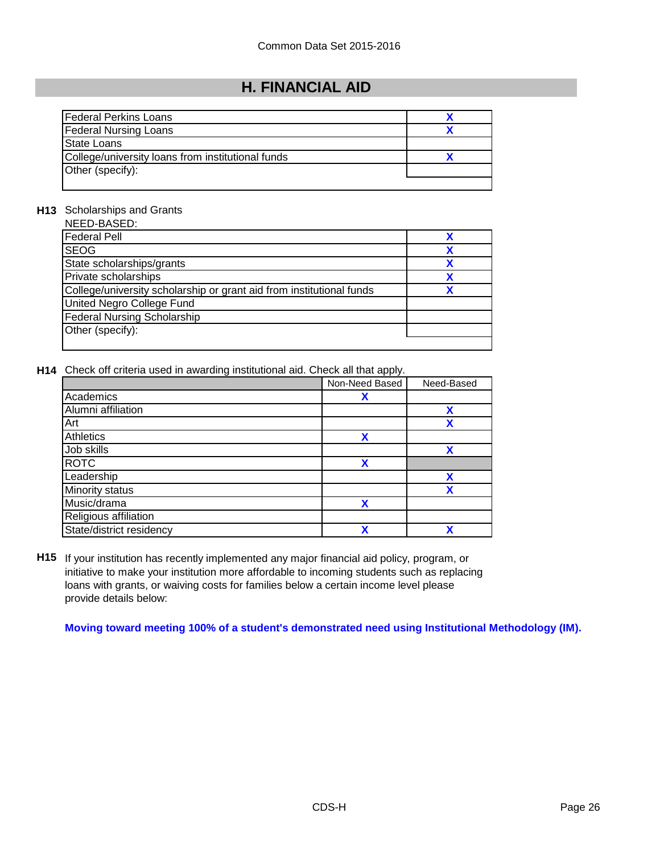| <b>Federal Perkins Loans</b>                      |  |
|---------------------------------------------------|--|
| <b>Federal Nursing Loans</b>                      |  |
| <b>State Loans</b>                                |  |
| College/university loans from institutional funds |  |
| Other (specify):                                  |  |
|                                                   |  |

### **H13** Scholarships and Grants

| NEED-BASED:                                                          |   |
|----------------------------------------------------------------------|---|
| <b>Federal Pell</b>                                                  |   |
| <b>SEOG</b>                                                          |   |
| State scholarships/grants                                            | χ |
| Private scholarships                                                 |   |
| College/university scholarship or grant aid from institutional funds |   |
| United Negro College Fund                                            |   |
| <b>Federal Nursing Scholarship</b>                                   |   |
| Other (specify):                                                     |   |
|                                                                      |   |

**H14** Check off criteria used in awarding institutional aid. Check all that apply.

|                          | Non-Need Based | Need-Based |
|--------------------------|----------------|------------|
| Academics                | x              |            |
| Alumni affiliation       |                | X          |
| Art                      |                | χ          |
| Athletics                | X              |            |
| Job skills               |                | X          |
| <b>ROTC</b>              | X              |            |
| Leadership               |                | χ          |
| <b>Minority status</b>   |                | χ          |
| Music/drama              | χ              |            |
| Religious affiliation    |                |            |
| State/district residency | v              | χ          |

**H15** If your institution has recently implemented any major financial aid policy, program, or initiative to make your institution more affordable to incoming students such as replacing loans with grants, or waiving costs for families below a certain income level please provide details below:

**Moving toward meeting 100% of a student's demonstrated need using Institutional Methodology (IM).**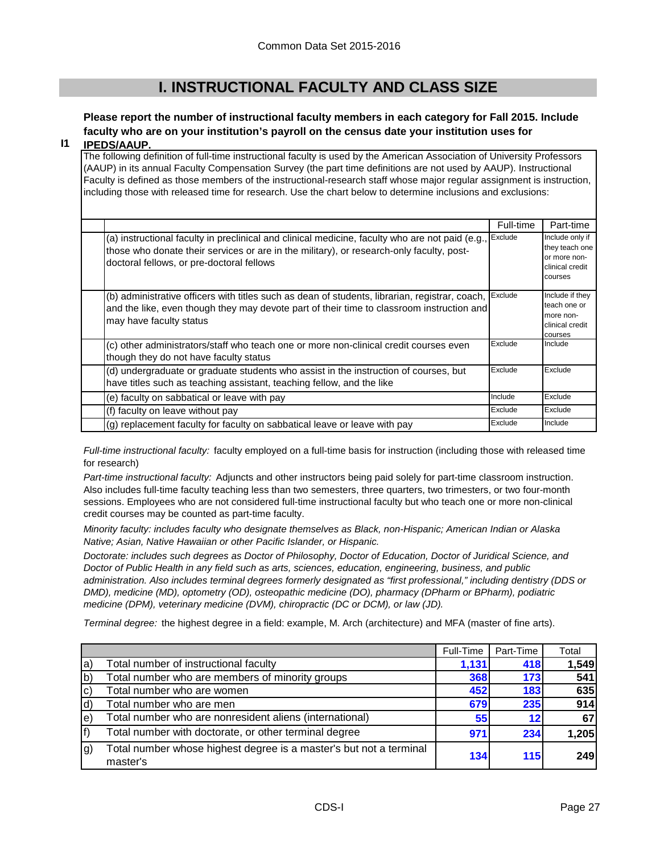## **I. INSTRUCTIONAL FACULTY AND CLASS SIZE**

### **Please report the number of instructional faculty members in each category for Fall 2015. Include faculty who are on your institution's payroll on the census date your institution uses for**

#### **I1 IPEDS/AAUP.**

The following definition of full-time instructional faculty is used by the American Association of University Professors (AAUP) in its annual Faculty Compensation Survey (the part time definitions are not used by AAUP). Instructional Faculty is defined as those members of the instructional-research staff whose major regular assignment is instruction, including those with released time for research. Use the chart below to determine inclusions and exclusions:

|                                                                                                                                                                                                                                          | Full-time | Part-time                                                                       |
|------------------------------------------------------------------------------------------------------------------------------------------------------------------------------------------------------------------------------------------|-----------|---------------------------------------------------------------------------------|
| (a) instructional faculty in preclinical and clinical medicine, faculty who are not paid (e.g.,<br>those who donate their services or are in the military), or research-only faculty, post-<br>doctoral fellows, or pre-doctoral fellows | Exclude   | Include only if<br>they teach one<br>or more non-<br>clinical credit<br>courses |
| (b) administrative officers with titles such as dean of students, librarian, registrar, coach,<br>and the like, even though they may devote part of their time to classroom instruction and<br>may have faculty status                   | Exclude   | Include if they<br>teach one or<br>more non-<br>clinical credit<br>courses      |
| (c) other administrators/staff who teach one or more non-clinical credit courses even<br>though they do not have faculty status                                                                                                          | Exclude   | Include                                                                         |
| (d) undergraduate or graduate students who assist in the instruction of courses, but<br>have titles such as teaching assistant, teaching fellow, and the like                                                                            | Exclude   | Exclude                                                                         |
| (e) faculty on sabbatical or leave with pay                                                                                                                                                                                              | Include   | Exclude                                                                         |
| (f) faculty on leave without pay                                                                                                                                                                                                         | Exclude   | Exclude                                                                         |
| (g) replacement faculty for faculty on sabbatical leave or leave with pay                                                                                                                                                                | Exclude   | Include                                                                         |

*Full-time instructional faculty:* faculty employed on a full-time basis for instruction (including those with released time for research)

*Part-time instructional faculty:* Adjuncts and other instructors being paid solely for part-time classroom instruction. Also includes full-time faculty teaching less than two semesters, three quarters, two trimesters, or two four-month sessions. Employees who are not considered full-time instructional faculty but who teach one or more non-clinical credit courses may be counted as part-time faculty.

*Minority faculty: includes faculty who designate themselves as Black, non-Hispanic; American Indian or Alaska Native; Asian, Native Hawaiian or other Pacific Islander, or Hispanic.* 

*Doctorate: includes such degrees as Doctor of Philosophy, Doctor of Education, Doctor of Juridical Science, and Doctor of Public Health in any field such as arts, sciences, education, engineering, business, and public administration. Also includes terminal degrees formerly designated as "first professional," including dentistry (DDS or DMD), medicine (MD), optometry (OD), osteopathic medicine (DO), pharmacy (DPharm or BPharm), podiatric medicine (DPM), veterinary medicine (DVM), chiropractic (DC or DCM), or law (JD).*

*Terminal degree:* the highest degree in a field: example, M. Arch (architecture) and MFA (master of fine arts).

|     |                                                                                | Full-Time | Part-Time       | Total |
|-----|--------------------------------------------------------------------------------|-----------|-----------------|-------|
| la) | Total number of instructional faculty                                          | 1,131     | 418             | 1,549 |
| b)  | Total number who are members of minority groups                                | 368       | 173             | 541   |
| [c  | Total number who are women                                                     | 452       | 183             | 635   |
| d)  | Total number who are men                                                       | 679       | 235             | 914   |
| le) | Total number who are nonresident aliens (international)                        | 55        | 12 <sup>1</sup> | 67    |
| f)  | Total number with doctorate, or other terminal degree                          | 971       | 234             | 1,205 |
| g)  | Total number whose highest degree is a master's but not a terminal<br>master's | 134       | <b>115</b>      | 249   |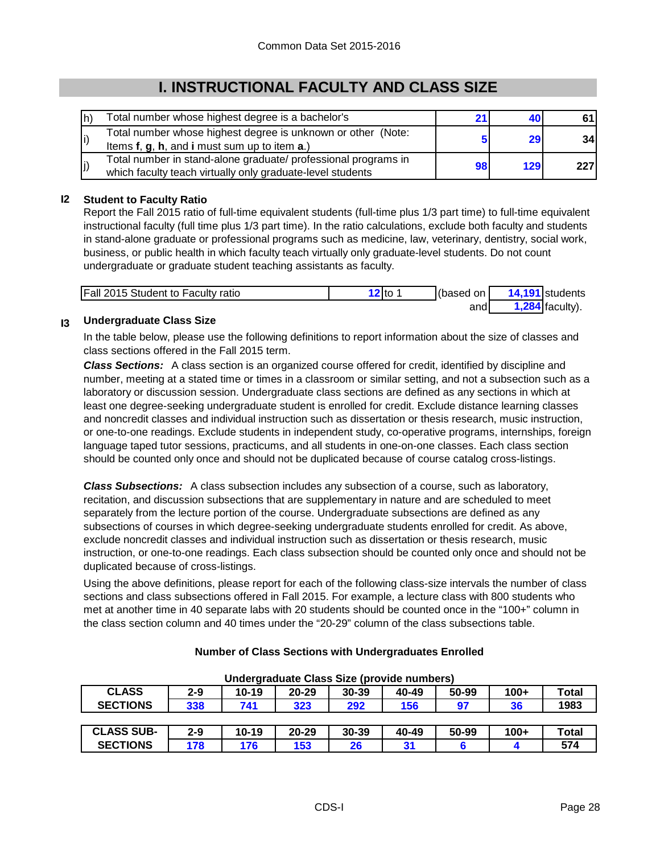# **I. INSTRUCTIONAL FACULTY AND CLASS SIZE**

| lh) | Total number whose highest degree is a bachelor's                                                                            |    |                 |     |
|-----|------------------------------------------------------------------------------------------------------------------------------|----|-----------------|-----|
|     | Total number whose highest degree is unknown or other (Note:<br>Items f, g, h, and i must sum up to item a.)                 |    | 29 <sub>1</sub> | 34  |
| (j  | Total number in stand-alone graduate/ professional programs in<br>which faculty teach virtually only graduate-level students | 98 | 129             | 227 |

### **I2 Student to Faculty Ratio**

Report the Fall 2015 ratio of full-time equivalent students (full-time plus 1/3 part time) to full-time equivalent instructional faculty (full time plus 1/3 part time). In the ratio calculations, exclude both faculty and students in stand-alone graduate or professional programs such as medicine, law, veterinary, dentistry, social work, business, or public health in which faculty teach virtually only graduate-level students. Do not count undergraduate or graduate student teaching assistants as faculty.

| <b>Fall 2015 Student to Faculty ratio</b> | 12 to | l(based on | 14,191 students   |
|-------------------------------------------|-------|------------|-------------------|
|                                           |       | andl       | $1,284$ faculty). |

#### **I3 Undergraduate Class Size**

In the table below, please use the following definitions to report information about the size of classes and class sections offered in the Fall 2015 term.

*Class Sections:* A class section is an organized course offered for credit, identified by discipline and number, meeting at a stated time or times in a classroom or similar setting, and not a subsection such as a laboratory or discussion session. Undergraduate class sections are defined as any sections in which at least one degree-seeking undergraduate student is enrolled for credit. Exclude distance learning classes and noncredit classes and individual instruction such as dissertation or thesis research, music instruction, or one-to-one readings. Exclude students in independent study, co-operative programs, internships, foreign language taped tutor sessions, practicums, and all students in one-on-one classes. Each class section should be counted only once and should not be duplicated because of course catalog cross-listings.

*Class Subsections:* A class subsection includes any subsection of a course, such as laboratory, recitation, and discussion subsections that are supplementary in nature and are scheduled to meet separately from the lecture portion of the course. Undergraduate subsections are defined as any subsections of courses in which degree-seeking undergraduate students enrolled for credit. As above, exclude noncredit classes and individual instruction such as dissertation or thesis research, music instruction, or one-to-one readings. Each class subsection should be counted only once and should not be duplicated because of cross-listings.

Using the above definitions, please report for each of the following class-size intervals the number of class sections and class subsections offered in Fall 2015. For example, a lecture class with 800 students who met at another time in 40 separate labs with 20 students should be counted once in the "100+" column in the class section column and 40 times under the "20-29" column of the class subsections table.

| <b>CLASS</b>      | $2 - 9$ | 10-19 | 20-29     | 30-39 | 40-49 | 50-99 | $100+$ | <b>Total</b> |
|-------------------|---------|-------|-----------|-------|-------|-------|--------|--------------|
| <b>SECTIONS</b>   | 338     | 741   | 323       | 292   | 156   | 97    | 36     | 1983         |
|                   |         |       |           |       |       |       |        |              |
| <b>CLASS SUB-</b> | $2 - 9$ | 10-19 | $20 - 29$ | 30-39 | 40-49 | 50-99 | $100+$ | <b>Total</b> |
| <b>SECTIONS</b>   | 178     | 176   | 153       | 26    | 31    |       |        | 574          |

#### **Number of Class Sections with Undergraduates Enrolled**

**Undergraduate Class Size (provide numbers)**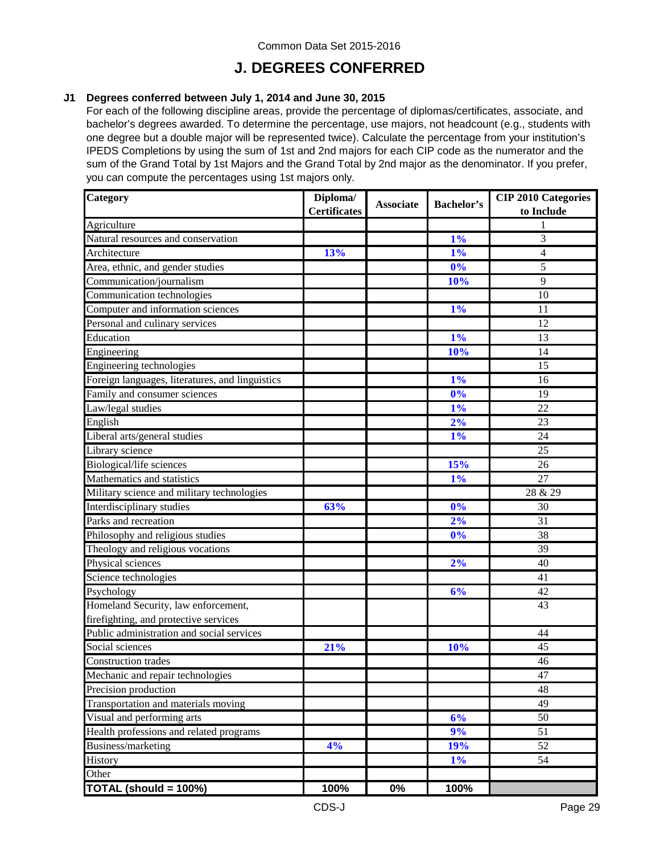### **J. DEGREES CONFERRED**

#### **J1 Degrees conferred between July 1, 2014 and June 30, 2015**

For each of the following discipline areas, provide the percentage of diplomas/certificates, associate, and bachelor's degrees awarded. To determine the percentage, use majors, not headcount (e.g., students with one degree but a double major will be represented twice). Calculate the percentage from your institution's IPEDS Completions by using the sum of 1st and 2nd majors for each CIP code as the numerator and the sum of the Grand Total by 1st Majors and the Grand Total by 2nd major as the denominator. If you prefer, you can compute the percentages using 1st majors only.

| Category                                        | Diploma/<br><b>Certificates</b> | <b>Associate</b> | <b>Bachelor's</b> | <b>CIP 2010 Categories</b><br>to Include |
|-------------------------------------------------|---------------------------------|------------------|-------------------|------------------------------------------|
| Agriculture                                     |                                 |                  |                   | 1                                        |
| Natural resources and conservation              |                                 |                  | 1%                | 3                                        |
| Architecture                                    | 13%                             |                  | 1%                | $\overline{4}$                           |
| Area, ethnic, and gender studies                |                                 |                  | 0%                | 5                                        |
| Communication/journalism                        |                                 |                  | 10%               | 9                                        |
| Communication technologies                      |                                 |                  |                   | 10                                       |
| Computer and information sciences               |                                 |                  | 1%                | 11                                       |
| Personal and culinary services                  |                                 |                  |                   | 12                                       |
| Education                                       |                                 |                  | 1%                | 13                                       |
| Engineering                                     |                                 |                  | 10%               | 14                                       |
| Engineering technologies                        |                                 |                  |                   | 15                                       |
| Foreign languages, literatures, and linguistics |                                 |                  | 1%                | 16                                       |
| Family and consumer sciences                    |                                 |                  | $\overline{0\%}$  | 19                                       |
| Law/legal studies                               |                                 |                  | 1%                | 22                                       |
| English                                         |                                 |                  | 2%                | 23                                       |
| Liberal arts/general studies                    |                                 |                  | 1%                | 24                                       |
| Library science                                 |                                 |                  |                   | 25                                       |
| Biological/life sciences                        |                                 |                  | 15%               | 26                                       |
| Mathematics and statistics                      |                                 |                  | 1%                | 27                                       |
| Military science and military technologies      |                                 |                  |                   | 28 & 29                                  |
| Interdisciplinary studies                       | 63%                             |                  | 0%                | 30                                       |
| Parks and recreation                            |                                 |                  | 2%                | 31                                       |
| Philosophy and religious studies                |                                 |                  | 0%                | 38                                       |
| Theology and religious vocations                |                                 |                  |                   | 39                                       |
| Physical sciences                               |                                 |                  | 2%                | 40                                       |
| Science technologies                            |                                 |                  |                   | 41                                       |
| Psychology                                      |                                 |                  | 6%                | 42                                       |
| Homeland Security, law enforcement,             |                                 |                  |                   | 43                                       |
| firefighting, and protective services           |                                 |                  |                   |                                          |
| Public administration and social services       |                                 |                  |                   | 44                                       |
| Social sciences                                 | 21%                             |                  | 10%               | 45                                       |
| Construction trades                             |                                 |                  |                   | 46                                       |
| Mechanic and repair technologies                |                                 |                  |                   | 47                                       |
| Precision production                            |                                 |                  |                   | 48                                       |
| Transportation and materials moving             |                                 |                  |                   | 49                                       |
| Visual and performing arts                      |                                 |                  | 6%                | 50                                       |
| Health professions and related programs         |                                 |                  | 9%                | 51                                       |
| Business/marketing                              | 4%                              |                  | 19%               | $\overline{52}$                          |
| History                                         |                                 |                  | $1\%$             | 54                                       |
| Other                                           |                                 |                  |                   |                                          |
| TOTAL (should = 100%)                           | 100%                            | 0%               | 100%              |                                          |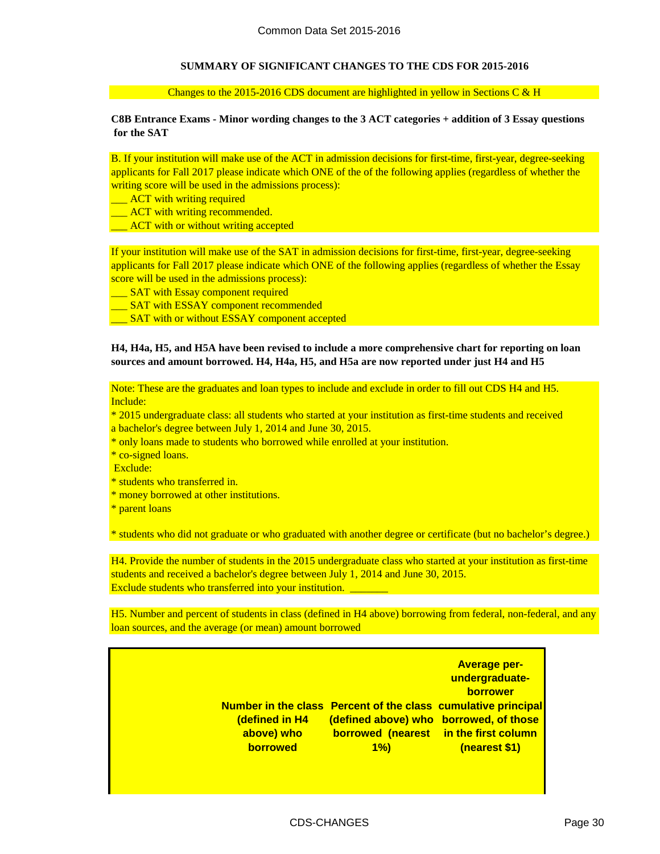#### **SUMMARY OF SIGNIFICANT CHANGES TO THE CDS FOR 2015-2016**

Changes to the 2015-2016 CDS document are highlighted in yellow in Sections C  $&$  H

#### **C8B Entrance Exams - Minor wording changes to the 3 ACT categories + addition of 3 Essay questions for the SAT**

applicants for Fall 2017 please indicate which ONE of the of the following applies (regardless of whether the writing score will be used in the admissions process): B. If your institution will make use of the ACT in admission decisions for first-time, first-year, degree-seeking

- **EXCOU ACT** with writing required
- **ACT** with writing recommended.
- **EXCT** with or without writing accepted

If your institution will make use of the SAT in admission decisions for first-time, first-year, degree-seeking applicants for Fall 2017 please indicate which ONE of the following applies (regardless of whether the Essay score will be used in the admissions process):

- SAT with Essay component required
- **\_\_ SAT with ESSAY component recommended**
- SAT with or without ESSAY component accepted

#### **H4, H4a, H5, and H5A have been revised to include a more comprehensive chart for reporting on loan sources and amount borrowed. H4, H4a, H5, and H5a are now reported under just H4 and H5**

Note: These are the graduates and loan types to include and exclude in order to fill out CDS H4 and H5. Include:

- \* 2015 undergraduate class: all students who started at your institution as first-time students and received a bachelor's degree between July 1, 2014 and June 30, 2015.
- \* only loans made to students who borrowed while enrolled at your institution.
- \* co-signed loans.
- Exclude:
- \* students who transferred in.
- \* money borrowed at other institutions.
- \* parent loans

\* students who did not graduate or who graduated with another degree or certificate (but no bachelor's degree.)

H4. Provide the number of students in the 2015 undergraduate class who started at your institution as first-time students and received a bachelor's degree between July 1, 2014 and June 30, 2015. Exclude students who transferred into your institution.

loan sources, and the average (or mean) amount borrowed H5. Number and percent of students in class (defined in H4 above) borrowing from federal, non-federal, and any

| (defined in H4<br>above) who<br><b>borrowed</b> | Number in the class Percent of the class cumulative principal<br>(defined above) who borrowed, of those<br><b>borrowed (nearest in the first column</b><br>$1\%$ | <b>Average per-</b><br>undergraduate-<br>borrower<br>(nearest \$1) |
|-------------------------------------------------|------------------------------------------------------------------------------------------------------------------------------------------------------------------|--------------------------------------------------------------------|
|                                                 |                                                                                                                                                                  |                                                                    |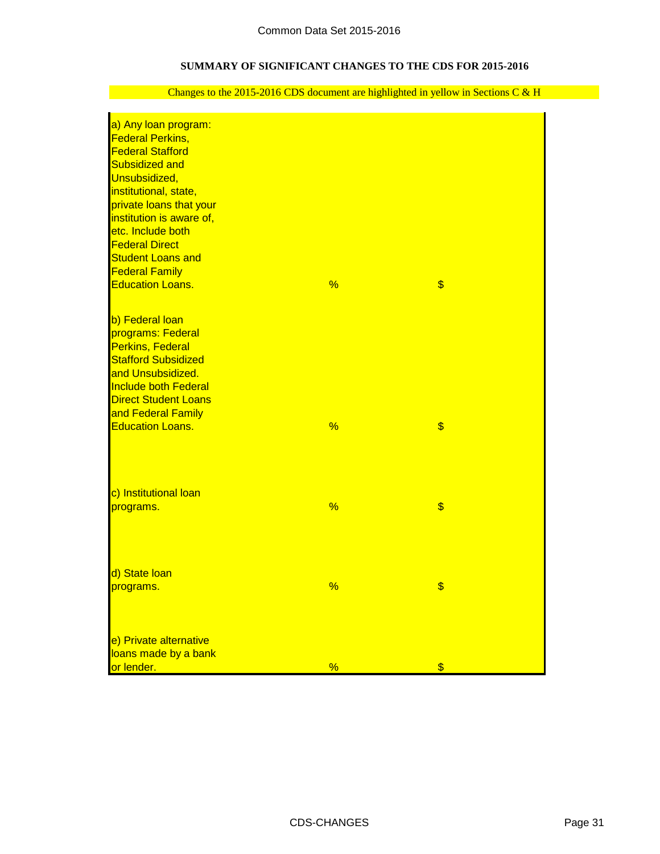### **SUMMARY OF SIGNIFICANT CHANGES TO THE CDS FOR 2015-2016**

| a) Any loan program:                                       |               |    |
|------------------------------------------------------------|---------------|----|
| <b>Federal Perkins,</b>                                    |               |    |
| <b>Federal Stafford</b>                                    |               |    |
| <b>Subsidized and</b>                                      |               |    |
| Unsubsidized,                                              |               |    |
| institutional, state,                                      |               |    |
| private loans that your                                    |               |    |
| institution is aware of,                                   |               |    |
| etc. Include both                                          |               |    |
| <b>Federal Direct</b>                                      |               |    |
| <b>Student Loans and</b>                                   |               |    |
| <b>Federal Family</b>                                      |               |    |
| <b>Education Loans.</b>                                    | %             | \$ |
|                                                            |               |    |
| b) Federal loan                                            |               |    |
| programs: Federal                                          |               |    |
| <b>Perkins, Federal</b>                                    |               |    |
| <b>Stafford Subsidized</b>                                 |               |    |
|                                                            |               |    |
| and Unsubsidized.                                          |               |    |
| <b>Include both Federal</b><br><b>Direct Student Loans</b> |               |    |
|                                                            |               |    |
| and Federal Family<br><b>Education Loans.</b>              | %             | \$ |
|                                                            |               |    |
|                                                            |               |    |
| c) Institutional loan                                      |               |    |
| programs.                                                  | %             | \$ |
|                                                            |               |    |
|                                                            |               |    |
| d) State loan                                              |               |    |
| programs.                                                  | $\frac{1}{2}$ | \$ |
|                                                            |               |    |
| e) Private alternative                                     |               |    |
| loans made by a bank                                       |               |    |
| or lender.                                                 | %             | \$ |

### Changes to the 2015-2016 CDS document are highlighted in yellow in Sections C & H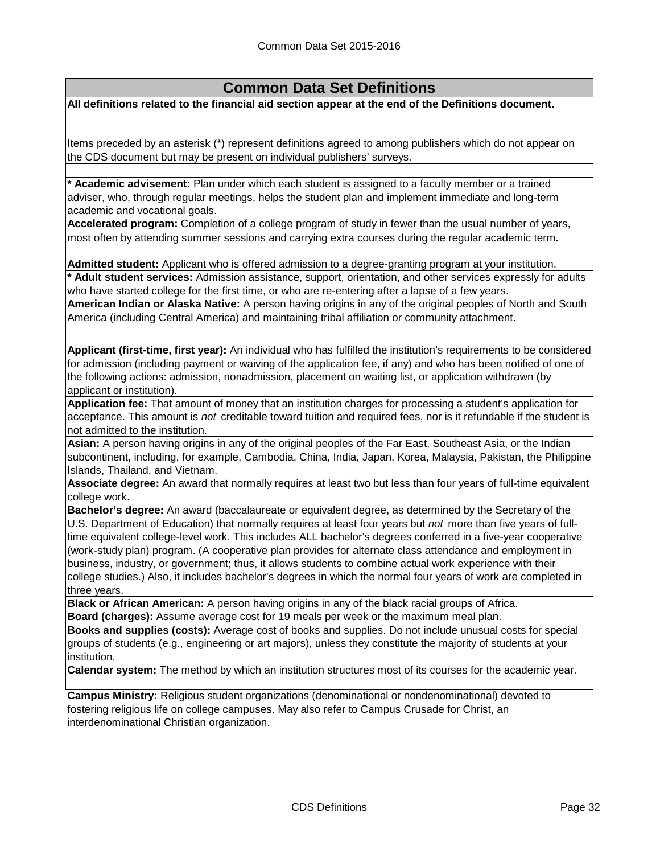**All definitions related to the financial aid section appear at the end of the Definitions document.**

Items preceded by an asterisk (\*) represent definitions agreed to among publishers which do not appear on the CDS document but may be present on individual publishers' surveys.

**\* Academic advisement:** Plan under which each student is assigned to a faculty member or a trained adviser, who, through regular meetings, helps the student plan and implement immediate and long-term academic and vocational goals.

**Accelerated program:** Completion of a college program of study in fewer than the usual number of years, most often by attending summer sessions and carrying extra courses during the regular academic term**.**

**Admitted student:** Applicant who is offered admission to a degree-granting program at your institution.

**\* Adult student services:** Admission assistance, support, orientation, and other services expressly for adults who have started college for the first time, or who are re-entering after a lapse of a few years.

**American Indian or Alaska Native:** A person having origins in any of the original peoples of North and South America (including Central America) and maintaining tribal affiliation or community attachment.

**Applicant (first-time, first year):** An individual who has fulfilled the institution's requirements to be considered for admission (including payment or waiving of the application fee, if any) and who has been notified of one of the following actions: admission, nonadmission, placement on waiting list, or application withdrawn (by applicant or institution).

**Application fee:** That amount of money that an institution charges for processing a student's application for acceptance. This amount is *not* creditable toward tuition and required fees, nor is it refundable if the student is not admitted to the institution.

**Asian:** A person having origins in any of the original peoples of the Far East, Southeast Asia, or the Indian subcontinent, including, for example, Cambodia, China, India, Japan, Korea, Malaysia, Pakistan, the Philippine Islands, Thailand, and Vietnam.

**Associate degree:** An award that normally requires at least two but less than four years of full-time equivalent college work.

**Bachelor's degree:** An award (baccalaureate or equivalent degree, as determined by the Secretary of the U.S. Department of Education) that normally requires at least four years but *not* more than five years of fulltime equivalent college-level work. This includes ALL bachelor's degrees conferred in a five-year cooperative (work-study plan) program. (A cooperative plan provides for alternate class attendance and employment in business, industry, or government; thus, it allows students to combine actual work experience with their college studies.) Also, it includes bachelor's degrees in which the normal four years of work are completed in three years.

**Black or African American:** A person having origins in any of the black racial groups of Africa.

**Board (charges):** Assume average cost for 19 meals per week or the maximum meal plan.

**Books and supplies (costs):** Average cost of books and supplies. Do not include unusual costs for special groups of students (e.g., engineering or art majors), unless they constitute the majority of students at your institution.

**Calendar system:** The method by which an institution structures most of its courses for the academic year.

**Campus Ministry:** Religious student organizations (denominational or nondenominational) devoted to fostering religious life on college campuses. May also refer to Campus Crusade for Christ, an interdenominational Christian organization.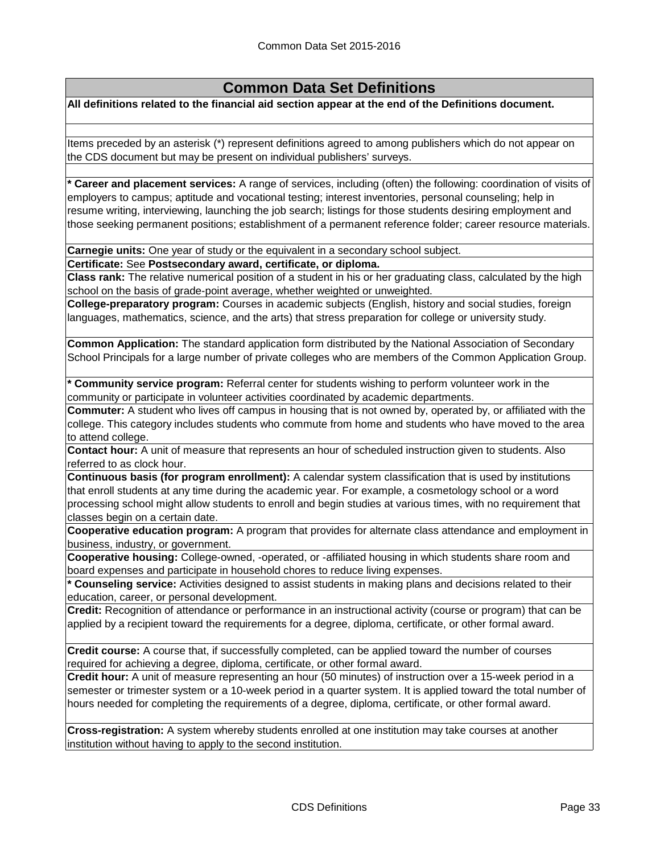**All definitions related to the financial aid section appear at the end of the Definitions document.**

Items preceded by an asterisk (\*) represent definitions agreed to among publishers which do not appear on the CDS document but may be present on individual publishers' surveys.

**\* Career and placement services:** A range of services, including (often) the following: coordination of visits of employers to campus; aptitude and vocational testing; interest inventories, personal counseling; help in resume writing, interviewing, launching the job search; listings for those students desiring employment and those seeking permanent positions; establishment of a permanent reference folder; career resource materials.

**Carnegie units:** One year of study or the equivalent in a secondary school subject.

**Certificate:** See **Postsecondary award, certificate, or diploma.**

**Class rank:** The relative numerical position of a student in his or her graduating class, calculated by the high school on the basis of grade-point average, whether weighted or unweighted.

**College-preparatory program:** Courses in academic subjects (English, history and social studies, foreign languages, mathematics, science, and the arts) that stress preparation for college or university study.

**Common Application:** The standard application form distributed by the National Association of Secondary School Principals for a large number of private colleges who are members of the Common Application Group.

**Community service program:** Referral center for students wishing to perform volunteer work in the community or participate in volunteer activities coordinated by academic departments.

**Commuter:** A student who lives off campus in housing that is not owned by, operated by, or affiliated with the college. This category includes students who commute from home and students who have moved to the area to attend college.

**Contact hour:** A unit of measure that represents an hour of scheduled instruction given to students. Also referred to as clock hour.

**Continuous basis (for program enrollment):** A calendar system classification that is used by institutions that enroll students at any time during the academic year. For example, a cosmetology school or a word processing school might allow students to enroll and begin studies at various times, with no requirement that classes begin on a certain date.

**Cooperative education program:** A program that provides for alternate class attendance and employment in business, industry, or government.

**Cooperative housing:** College-owned, -operated, or -affiliated housing in which students share room and board expenses and participate in household chores to reduce living expenses.

**\* Counseling service:** Activities designed to assist students in making plans and decisions related to their education, career, or personal development.

**Credit:** Recognition of attendance or performance in an instructional activity (course or program) that can be applied by a recipient toward the requirements for a degree, diploma, certificate, or other formal award.

**Credit course:** A course that, if successfully completed, can be applied toward the number of courses required for achieving a degree, diploma, certificate, or other formal award.

**Credit hour:** A unit of measure representing an hour (50 minutes) of instruction over a 15-week period in a semester or trimester system or a 10-week period in a quarter system. It is applied toward the total number of hours needed for completing the requirements of a degree, diploma, certificate, or other formal award.

**Cross-registration:** A system whereby students enrolled at one institution may take courses at another institution without having to apply to the second institution.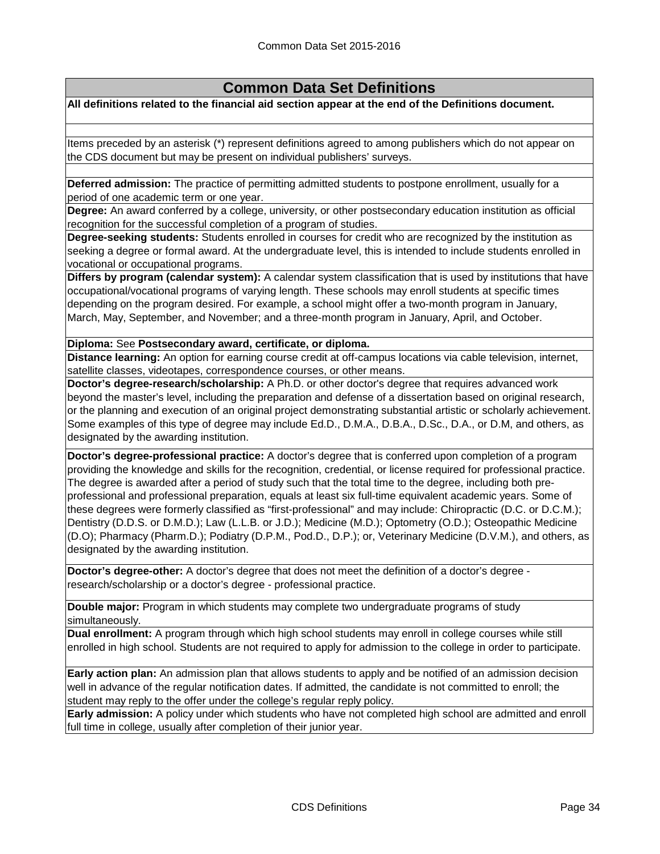**All definitions related to the financial aid section appear at the end of the Definitions document.**

Items preceded by an asterisk (\*) represent definitions agreed to among publishers which do not appear on the CDS document but may be present on individual publishers' surveys.

**Deferred admission:** The practice of permitting admitted students to postpone enrollment, usually for a period of one academic term or one year.

**Degree:** An award conferred by a college, university, or other postsecondary education institution as official recognition for the successful completion of a program of studies.

**Degree-seeking students:** Students enrolled in courses for credit who are recognized by the institution as seeking a degree or formal award. At the undergraduate level, this is intended to include students enrolled in vocational or occupational programs.

**Differs by program (calendar system):** A calendar system classification that is used by institutions that have occupational/vocational programs of varying length. These schools may enroll students at specific times depending on the program desired. For example, a school might offer a two-month program in January, March, May, September, and November; and a three-month program in January, April, and October.

**Diploma:** See **Postsecondary award, certificate, or diploma.**

**Distance learning:** An option for earning course credit at off-campus locations via cable television, internet, satellite classes, videotapes, correspondence courses, or other means.

**Doctor's degree-research/scholarship:** A Ph.D. or other doctor's degree that requires advanced work beyond the master's level, including the preparation and defense of a dissertation based on original research, or the planning and execution of an original project demonstrating substantial artistic or scholarly achievement. Some examples of this type of degree may include Ed.D., D.M.A., D.B.A., D.Sc., D.A., or D.M, and others, as designated by the awarding institution.

**Doctor's degree-professional practice:** A doctor's degree that is conferred upon completion of a program providing the knowledge and skills for the recognition, credential, or license required for professional practice. The degree is awarded after a period of study such that the total time to the degree, including both preprofessional and professional preparation, equals at least six full-time equivalent academic years. Some of these degrees were formerly classified as "first-professional" and may include: Chiropractic (D.C. or D.C.M.); Dentistry (D.D.S. or D.M.D.); Law (L.L.B. or J.D.); Medicine (M.D.); Optometry (O.D.); Osteopathic Medicine (D.O); Pharmacy (Pharm.D.); Podiatry (D.P.M., Pod.D., D.P.); or, Veterinary Medicine (D.V.M.), and others, as designated by the awarding institution.

**Doctor's degree-other:** A doctor's degree that does not meet the definition of a doctor's degree research/scholarship or a doctor's degree - professional practice.

**Double major:** Program in which students may complete two undergraduate programs of study simultaneously.

**Dual enrollment:** A program through which high school students may enroll in college courses while still enrolled in high school. Students are not required to apply for admission to the college in order to participate.

**Early action plan:** An admission plan that allows students to apply and be notified of an admission decision well in advance of the regular notification dates. If admitted, the candidate is not committed to enroll; the student may reply to the offer under the college's regular reply policy.

**Early admission:** A policy under which students who have not completed high school are admitted and enroll full time in college, usually after completion of their junior year.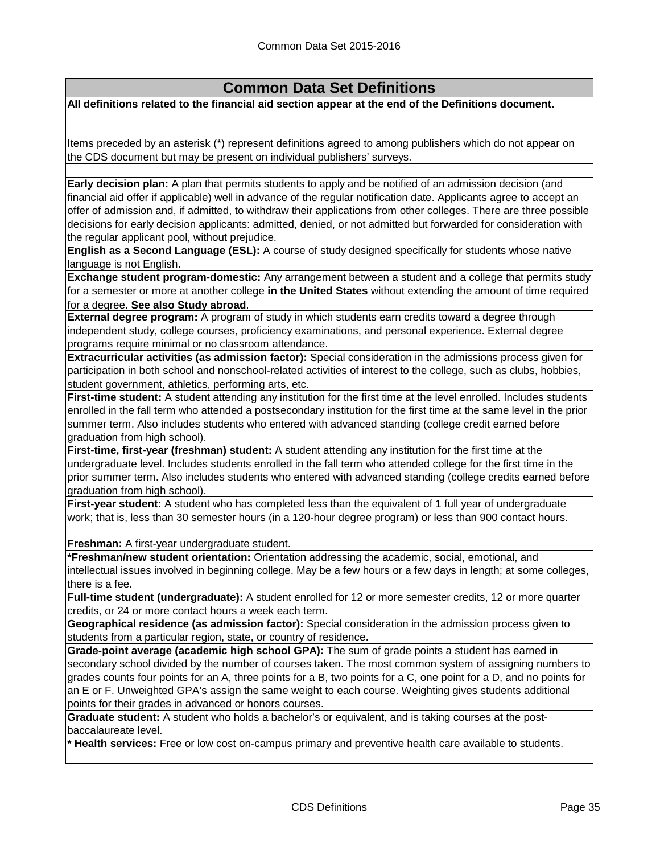**All definitions related to the financial aid section appear at the end of the Definitions document.**

Items preceded by an asterisk (\*) represent definitions agreed to among publishers which do not appear on the CDS document but may be present on individual publishers' surveys.

**Early decision plan:** A plan that permits students to apply and be notified of an admission decision (and financial aid offer if applicable) well in advance of the regular notification date. Applicants agree to accept an offer of admission and, if admitted, to withdraw their applications from other colleges. There are three possible decisions for early decision applicants: admitted, denied, or not admitted but forwarded for consideration with the regular applicant pool, without prejudice.

**English as a Second Language (ESL):** A course of study designed specifically for students whose native language is not English.

**Exchange student program-domestic:** Any arrangement between a student and a college that permits study for a semester or more at another college **in the United States** without extending the amount of time required for a degree. **See also Study abroad**.

**External degree program:** A program of study in which students earn credits toward a degree through independent study, college courses, proficiency examinations, and personal experience. External degree programs require minimal or no classroom attendance.

**Extracurricular activities (as admission factor):** Special consideration in the admissions process given for participation in both school and nonschool-related activities of interest to the college, such as clubs, hobbies, student government, athletics, performing arts, etc.

**First-time student:** A student attending any institution for the first time at the level enrolled. Includes students enrolled in the fall term who attended a postsecondary institution for the first time at the same level in the prior summer term. Also includes students who entered with advanced standing (college credit earned before graduation from high school).

**First-time, first-year (freshman) student:** A student attending any institution for the first time at the undergraduate level. Includes students enrolled in the fall term who attended college for the first time in the prior summer term. Also includes students who entered with advanced standing (college credits earned before graduation from high school).

**First-year student:** A student who has completed less than the equivalent of 1 full year of undergraduate work; that is, less than 30 semester hours (in a 120-hour degree program) or less than 900 contact hours.

**Freshman:** A first-year undergraduate student.

**\*Freshman/new student orientation:** Orientation addressing the academic, social, emotional, and intellectual issues involved in beginning college. May be a few hours or a few days in length; at some colleges, there is a fee.

**Full-time student (undergraduate):** A student enrolled for 12 or more semester credits, 12 or more quarter credits, or 24 or more contact hours a week each term.

**Geographical residence (as admission factor):** Special consideration in the admission process given to students from a particular region, state, or country of residence.

**Grade-point average (academic high school GPA):** The sum of grade points a student has earned in secondary school divided by the number of courses taken. The most common system of assigning numbers to grades counts four points for an A, three points for a B, two points for a C, one point for a D, and no points for an E or F. Unweighted GPA's assign the same weight to each course. Weighting gives students additional points for their grades in advanced or honors courses.

**Graduate student:** A student who holds a bachelor's or equivalent, and is taking courses at the postbaccalaureate level.

**\* Health services:** Free or low cost on-campus primary and preventive health care available to students.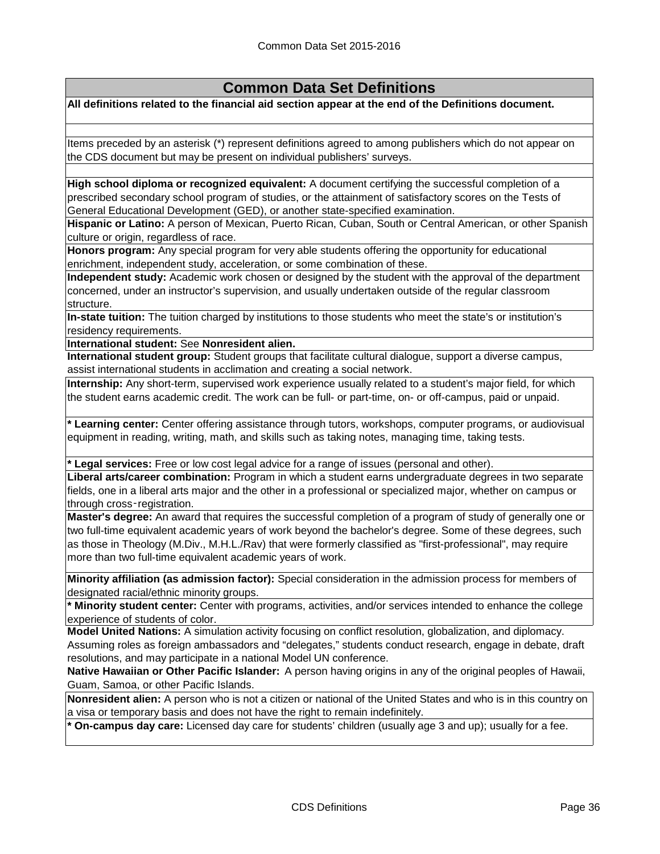**All definitions related to the financial aid section appear at the end of the Definitions document.**

Items preceded by an asterisk (\*) represent definitions agreed to among publishers which do not appear on the CDS document but may be present on individual publishers' surveys.

**High school diploma or recognized equivalent:** A document certifying the successful completion of a prescribed secondary school program of studies, or the attainment of satisfactory scores on the Tests of General Educational Development (GED), or another state-specified examination.

**Hispanic or Latino:** A person of Mexican, Puerto Rican, Cuban, South or Central American, or other Spanish culture or origin, regardless of race.

**Honors program:** Any special program for very able students offering the opportunity for educational enrichment, independent study, acceleration, or some combination of these.

**Independent study:** Academic work chosen or designed by the student with the approval of the department concerned, under an instructor's supervision, and usually undertaken outside of the regular classroom structure.

**In-state tuition:** The tuition charged by institutions to those students who meet the state's or institution's residency requirements.

**International student:** See **Nonresident alien.**

**International student group:** Student groups that facilitate cultural dialogue, support a diverse campus, assist international students in acclimation and creating a social network.

**Internship:** Any short-term, supervised work experience usually related to a student's major field, for which the student earns academic credit. The work can be full- or part-time, on- or off-campus, paid or unpaid.

**\* Learning center:** Center offering assistance through tutors, workshops, computer programs, or audiovisual equipment in reading, writing, math, and skills such as taking notes, managing time, taking tests.

**\* Legal services:** Free or low cost legal advice for a range of issues (personal and other).

**Liberal arts/career combination:** Program in which a student earns undergraduate degrees in two separate fields, one in a liberal arts major and the other in a professional or specialized major, whether on campus or through cross‑registration.

**Master's degree:** An award that requires the successful completion of a program of study of generally one or two full-time equivalent academic years of work beyond the bachelor's degree. Some of these degrees, such as those in Theology (M.Div., M.H.L./Rav) that were formerly classified as "first-professional", may require more than two full-time equivalent academic years of work.

**Minority affiliation (as admission factor):** Special consideration in the admission process for members of designated racial/ethnic minority groups.

**\* Minority student center:** Center with programs, activities, and/or services intended to enhance the college experience of students of color.

**Model United Nations:** A simulation activity focusing on conflict resolution, globalization, and diplomacy. Assuming roles as foreign ambassadors and "delegates," students conduct research, engage in debate, draft resolutions, and may participate in a national Model UN conference.

**Native Hawaiian or Other Pacific Islander:** A person having origins in any of the original peoples of Hawaii, Guam, Samoa, or other Pacific Islands.

**Nonresident alien:** A person who is not a citizen or national of the United States and who is in this country on a visa or temporary basis and does not have the right to remain indefinitely.

**On-campus day care:** Licensed day care for students' children (usually age 3 and up); usually for a fee.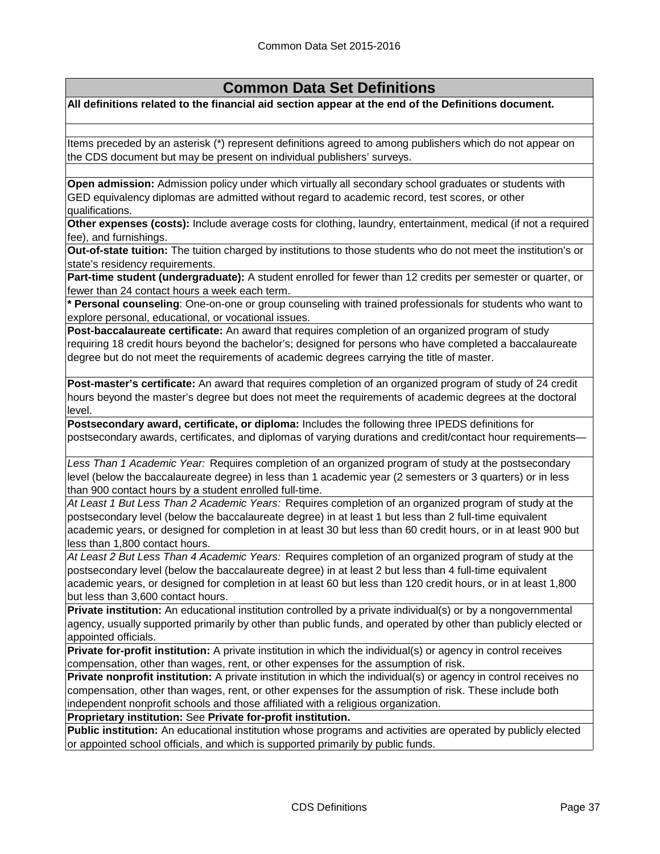**All definitions related to the financial aid section appear at the end of the Definitions document.**

Items preceded by an asterisk (\*) represent definitions agreed to among publishers which do not appear on the CDS document but may be present on individual publishers' surveys.

**Open admission:** Admission policy under which virtually all secondary school graduates or students with GED equivalency diplomas are admitted without regard to academic record, test scores, or other qualifications.

**Other expenses (costs):** Include average costs for clothing, laundry, entertainment, medical (if not a required fee), and furnishings.

**Out-of-state tuition:** The tuition charged by institutions to those students who do not meet the institution's or state's residency requirements.

**Part-time student (undergraduate):** A student enrolled for fewer than 12 credits per semester or quarter, or fewer than 24 contact hours a week each term.

**\* Personal counseling**: One-on-one or group counseling with trained professionals for students who want to explore personal, educational, or vocational issues.

**Post-baccalaureate certificate:** An award that requires completion of an organized program of study requiring 18 credit hours beyond the bachelor's; designed for persons who have completed a baccalaureate degree but do not meet the requirements of academic degrees carrying the title of master.

**Post-master's certificate:** An award that requires completion of an organized program of study of 24 credit hours beyond the master's degree but does not meet the requirements of academic degrees at the doctoral level.

**Postsecondary award, certificate, or diploma:** Includes the following three IPEDS definitions for postsecondary awards, certificates, and diplomas of varying durations and credit/contact hour requirements—

*Less Than 1 Academic Year:* Requires completion of an organized program of study at the postsecondary level (below the baccalaureate degree) in less than 1 academic year (2 semesters or 3 quarters) or in less than 900 contact hours by a student enrolled full-time.

*At Least 1 But Less Than 2 Academic Years:* Requires completion of an organized program of study at the postsecondary level (below the baccalaureate degree) in at least 1 but less than 2 full-time equivalent academic years, or designed for completion in at least 30 but less than 60 credit hours, or in at least 900 but less than 1,800 contact hours.

*At Least 2 But Less Than 4 Academic Years:* Requires completion of an organized program of study at the postsecondary level (below the baccalaureate degree) in at least 2 but less than 4 full-time equivalent academic years, or designed for completion in at least 60 but less than 120 credit hours, or in at least 1,800 but less than 3,600 contact hours.

**Private institution:** An educational institution controlled by a private individual(s) or by a nongovernmental agency, usually supported primarily by other than public funds, and operated by other than publicly elected or appointed officials.

**Private for-profit institution:** A private institution in which the individual(s) or agency in control receives compensation, other than wages, rent, or other expenses for the assumption of risk.

**Private nonprofit institution:** A private institution in which the individual(s) or agency in control receives no compensation, other than wages, rent, or other expenses for the assumption of risk. These include both independent nonprofit schools and those affiliated with a religious organization.

**Proprietary institution:** See **Private for-profit institution.**

**Public institution:** An educational institution whose programs and activities are operated by publicly elected or appointed school officials, and which is supported primarily by public funds.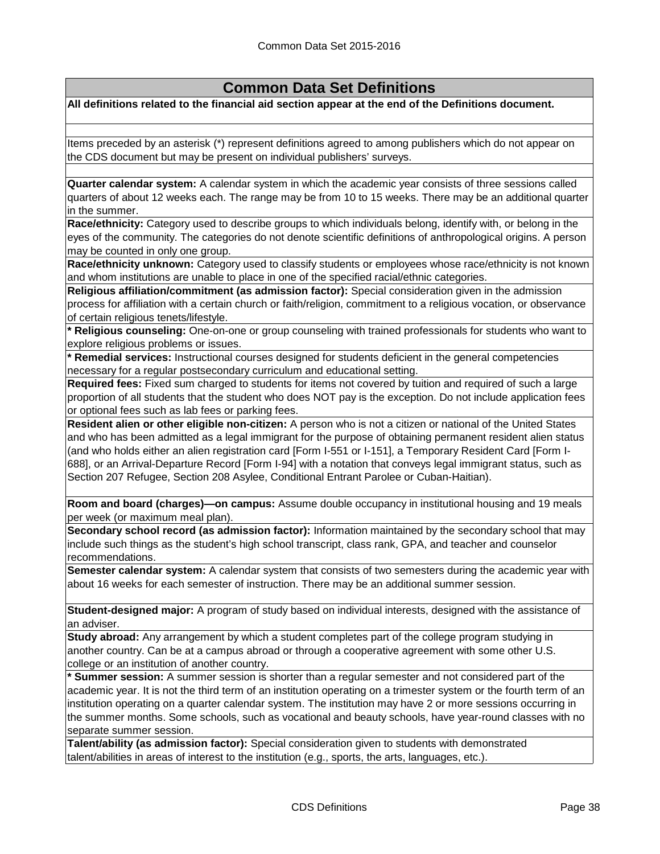**All definitions related to the financial aid section appear at the end of the Definitions document.**

Items preceded by an asterisk (\*) represent definitions agreed to among publishers which do not appear on the CDS document but may be present on individual publishers' surveys.

**Quarter calendar system:** A calendar system in which the academic year consists of three sessions called quarters of about 12 weeks each. The range may be from 10 to 15 weeks. There may be an additional quarter in the summer.

**Race/ethnicity:** Category used to describe groups to which individuals belong, identify with, or belong in the eyes of the community. The categories do not denote scientific definitions of anthropological origins. A person may be counted in only one group.

**Race/ethnicity unknown:** Category used to classify students or employees whose race/ethnicity is not known and whom institutions are unable to place in one of the specified racial/ethnic categories.

**Religious affiliation/commitment (as admission factor):** Special consideration given in the admission process for affiliation with a certain church or faith/religion, commitment to a religious vocation, or observance of certain religious tenets/lifestyle.

**\* Religious counseling:** One-on-one or group counseling with trained professionals for students who want to explore religious problems or issues.

**\* Remedial services:** Instructional courses designed for students deficient in the general competencies necessary for a regular postsecondary curriculum and educational setting.

**Required fees:** Fixed sum charged to students for items not covered by tuition and required of such a large proportion of all students that the student who does NOT pay is the exception. Do not include application fees or optional fees such as lab fees or parking fees.

**Resident alien or other eligible non-citizen:** A person who is not a citizen or national of the United States and who has been admitted as a legal immigrant for the purpose of obtaining permanent resident alien status (and who holds either an alien registration card [Form I-551 or I-151], a Temporary Resident Card [Form I-688], or an Arrival-Departure Record [Form I-94] with a notation that conveys legal immigrant status, such as Section 207 Refugee, Section 208 Asylee, Conditional Entrant Parolee or Cuban-Haitian).

**Room and board (charges)—on campus:** Assume double occupancy in institutional housing and 19 meals per week (or maximum meal plan).

**Secondary school record (as admission factor):** Information maintained by the secondary school that may include such things as the student's high school transcript, class rank, GPA, and teacher and counselor recommendations.

**Semester calendar system:** A calendar system that consists of two semesters during the academic year with about 16 weeks for each semester of instruction. There may be an additional summer session.

**Student-designed major:** A program of study based on individual interests, designed with the assistance of an adviser.

**Study abroad:** Any arrangement by which a student completes part of the college program studying in another country. Can be at a campus abroad or through a cooperative agreement with some other U.S. college or an institution of another country.

**\* Summer session:** A summer session is shorter than a regular semester and not considered part of the academic year. It is not the third term of an institution operating on a trimester system or the fourth term of an institution operating on a quarter calendar system. The institution may have 2 or more sessions occurring in the summer months. Some schools, such as vocational and beauty schools, have year-round classes with no separate summer session.

**Talent/ability (as admission factor):** Special consideration given to students with demonstrated talent/abilities in areas of interest to the institution (e.g., sports, the arts, languages, etc.).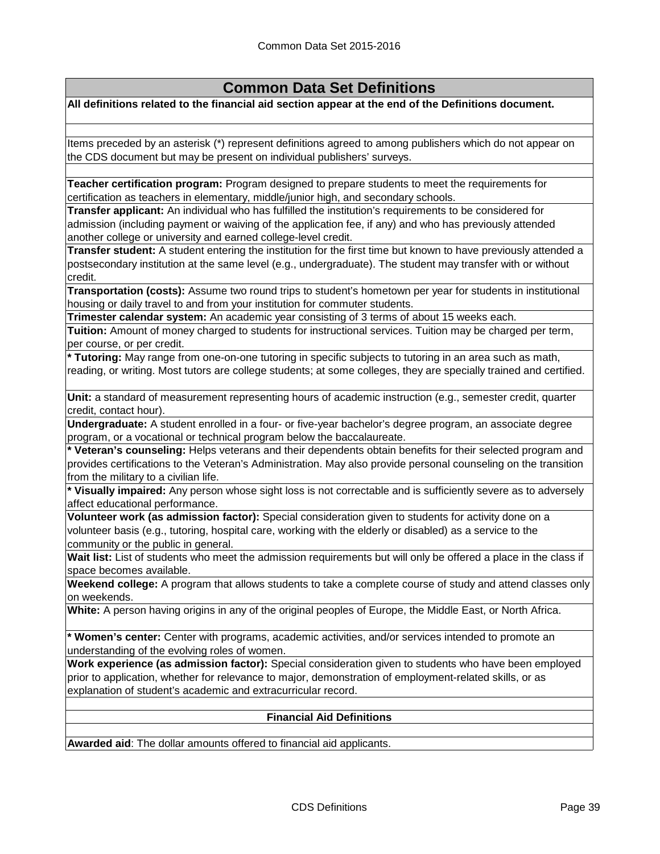**All definitions related to the financial aid section appear at the end of the Definitions document.**

Items preceded by an asterisk (\*) represent definitions agreed to among publishers which do not appear on the CDS document but may be present on individual publishers' surveys.

**Teacher certification program:** Program designed to prepare students to meet the requirements for certification as teachers in elementary, middle/junior high, and secondary schools.

**Transfer applicant:** An individual who has fulfilled the institution's requirements to be considered for admission (including payment or waiving of the application fee, if any) and who has previously attended another college or university and earned college-level credit.

**Transfer student:** A student entering the institution for the first time but known to have previously attended a postsecondary institution at the same level (e.g., undergraduate). The student may transfer with or without credit.

**Transportation (costs):** Assume two round trips to student's hometown per year for students in institutional housing or daily travel to and from your institution for commuter students.

**Trimester calendar system:** An academic year consisting of 3 terms of about 15 weeks each.

**Tuition:** Amount of money charged to students for instructional services. Tuition may be charged per term, per course, or per credit.

**\* Tutoring:** May range from one-on-one tutoring in specific subjects to tutoring in an area such as math, reading, or writing. Most tutors are college students; at some colleges, they are specially trained and certified.

**Unit:** a standard of measurement representing hours of academic instruction (e.g., semester credit, quarter credit, contact hour).

**Undergraduate:** A student enrolled in a four- or five-year bachelor's degree program, an associate degree program, or a vocational or technical program below the baccalaureate.

**\* Veteran's counseling:** Helps veterans and their dependents obtain benefits for their selected program and provides certifications to the Veteran's Administration. May also provide personal counseling on the transition from the military to a civilian life.

**\* Visually impaired:** Any person whose sight loss is not correctable and is sufficiently severe as to adversely affect educational performance.

**Volunteer work (as admission factor):** Special consideration given to students for activity done on a volunteer basis (e.g., tutoring, hospital care, working with the elderly or disabled) as a service to the community or the public in general.

Wait list: List of students who meet the admission requirements but will only be offered a place in the class if space becomes available.

**Weekend college:** A program that allows students to take a complete course of study and attend classes only on weekends.

**White:** A person having origins in any of the original peoples of Europe, the Middle East, or North Africa.

**\* Women's center:** Center with programs, academic activities, and/or services intended to promote an understanding of the evolving roles of women.

**Work experience (as admission factor):** Special consideration given to students who have been employed prior to application, whether for relevance to major, demonstration of employment-related skills, or as explanation of student's academic and extracurricular record.

### **Financial Aid Definitions**

**Awarded aid**: The dollar amounts offered to financial aid applicants.